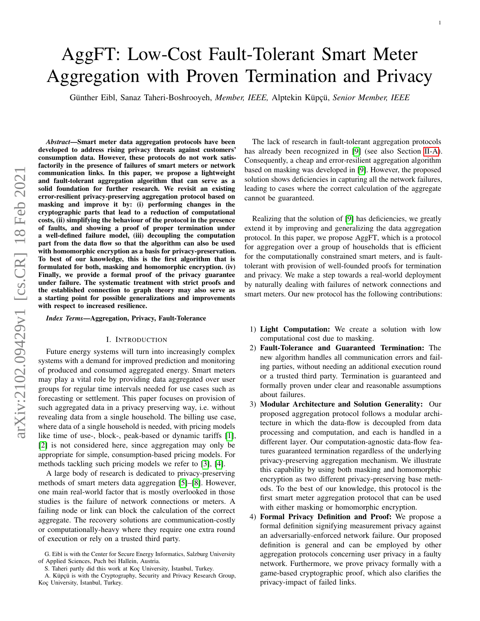# arXiv:2102.09429v1 [cs.CR] 18 Feb 2021 arXiv:2102.09429v1 [cs.CR] 18 Feb 2021

# AggFT: Low-Cost Fault-Tolerant Smart Meter Aggregation with Proven Termination and Privacy

Günther Eibl, Sanaz Taheri-Boshrooyeh, Member, IEEE, Alptekin Küpçü, Senior Member, IEEE

*Abstract*—Smart meter data aggregation protocols have been developed to address rising privacy threats against customers' consumption data. However, these protocols do not work satisfactorily in the presence of failures of smart meters or network communication links. In this paper, we propose a lightweight and fault-tolerant aggregation algorithm that can serve as a solid foundation for further research. We revisit an existing error-resilient privacy-preserving aggregation protocol based on masking and improve it by: (i) performing changes in the cryptographic parts that lead to a reduction of computational costs, (ii) simplifying the behaviour of the protocol in the presence of faults, and showing a proof of proper termination under a well-defined failure model, (iii) decoupling the computation part from the data flow so that the algorithm can also be used with homomorphic encryption as a basis for privacy-preservation. To best of our knowledge, this is the first algorithm that is formulated for both, masking and homomorphic encryption. (iv) Finally, we provide a formal proof of the privacy guarantee under failure. The systematic treatment with strict proofs and the established connection to graph theory may also serve as a starting point for possible generalizations and improvements with respect to increased resilience.

*Index Terms*—Aggregation, Privacy, Fault-Tolerance

#### I. INTRODUCTION

Future energy systems will turn into increasingly complex systems with a demand for improved prediction and monitoring of produced and consumed aggregated energy. Smart meters may play a vital role by providing data aggregated over user groups for regular time intervals needed for use cases such as forecasting or settlement. This paper focuses on provision of such aggregated data in a privacy preserving way, i.e. without revealing data from a single household. The billing use case, where data of a single household is needed, with pricing models like time of use-, block-, peak-based or dynamic tariffs [\[1\]](#page-13-0), [\[2\]](#page-13-1) is not considered here, since aggregation may only be appropriate for simple, consumption-based pricing models. For methods tackling such pricing models we refer to [\[3\]](#page-13-2), [\[4\]](#page-13-3).

A large body of research is dedicated to privacy-preserving methods of smart meters data aggregation [\[5\]](#page-13-4)–[\[8\]](#page-13-5). However, one main real-world factor that is mostly overlooked in those studies is the failure of network connections or meters. A failing node or link can block the calculation of the correct aggregate. The recovery solutions are communication-costly or computationally-heavy where they require one extra round of execution or rely on a trusted third party.

The lack of research in fault-tolerant aggregation protocols has already been recognized in [\[9\]](#page-13-6) (see also Section [II-A\)](#page-1-0). Consequently, a cheap and error-resilient aggregation algorithm based on masking was developed in [\[9\]](#page-13-6). However, the proposed solution shows deficiencies in capturing all the network failures, leading to cases where the correct calculation of the aggregate cannot be guaranteed.

Realizing that the solution of [\[9\]](#page-13-6) has deficiencies, we greatly extend it by improving and generalizing the data aggregation protocol. In this paper, we propose AggFT, which is a protocol for aggregation over a group of households that is efficient for the computationally constrained smart meters, and is faulttolerant with provision of well-founded proofs for termination and privacy. We make a step towards a real-world deployment by naturally dealing with failures of network connections and smart meters. Our new protocol has the following contributions:

- 1) Light Computation: We create a solution with low computational cost due to masking.
- 2) Fault-Tolerance and Guaranteed Termination: The new algorithm handles all communication errors and failing parties, without needing an additional execution round or a trusted third party. Termination is guaranteed and formally proven under clear and reasonable assumptions about failures.
- 3) Modular Architecture and Solution Generality: Our proposed aggregation protocol follows a modular architecture in which the data-flow is decoupled from data processing and computation, and each is handled in a different layer. Our computation-agnostic data-flow features guaranteed termination regardless of the underlying privacy-preserving aggregation mechanism. We illustrate this capability by using both masking and homomorphic encryption as two different privacy-preserving base methods. To the best of our knowledge, this protocol is the first smart meter aggregation protocol that can be used with either masking or homomorphic encryption.
- 4) Formal Privacy Definition and Proof: We propose a formal definition signifying measurement privacy against an adversarially-enforced network failure. Our proposed definition is general and can be employed by other aggregation protocols concerning user privacy in a faulty network. Furthermore, we prove privacy formally with a game-based cryptographic proof, which also clarifies the privacy-impact of failed links.

G. Eibl is with the Center for Secure Energy Informatics, Salzburg University of Applied Sciences, Puch bei Hallein, Austria.

S. Taheri partly did this work at Koç University, İstanbul, Turkey.

A. Küpçü is with the Cryptography, Security and Privacy Research Group, Koç University, İstanbul, Turkey.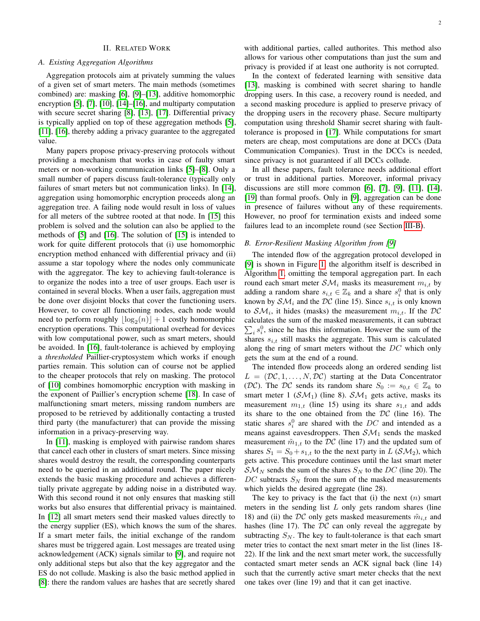# II. RELATED WORK

# <span id="page-1-0"></span>*A. Existing Aggregation Algorithms*

Aggregation protocols aim at privately summing the values of a given set of smart meters. The main methods (sometimes combined) are: masking [\[6\]](#page-13-7), [\[9\]](#page-13-6)–[\[13\]](#page-13-8), additive homomorphic encryption [\[5\]](#page-13-4), [\[7\]](#page-13-9), [\[10\]](#page-13-10), [\[14\]](#page-13-11)–[\[16\]](#page-13-12), and multiparty computation with secure secret sharing [\[8\]](#page-13-5), [\[13\]](#page-13-8), [\[17\]](#page-13-13). Differential privacy is typically applied on top of these aggregation methods [\[5\]](#page-13-4), [\[11\]](#page-13-14), [\[16\]](#page-13-12), thereby adding a privacy guarantee to the aggregated value.

Many papers propose privacy-preserving protocols without providing a mechanism that works in case of faulty smart meters or non-working communication links [\[5\]](#page-13-4)–[\[8\]](#page-13-5). Only a small number of papers discuss fault-tolerance (typically only failures of smart meters but not communication links). In [\[14\]](#page-13-11), aggregation using homomorphic encryption proceeds along an aggregation tree. A failing node would result in loss of values for all meters of the subtree rooted at that node. In [\[15\]](#page-13-15) this problem is solved and the solution can also be applied to the methods of [\[5\]](#page-13-4) and [\[16\]](#page-13-12). The solution of [\[15\]](#page-13-15) is intended to work for quite different protocols that (i) use homomorphic encryption method enhanced with differential privacy and (ii) assume a star topology where the nodes only communicate with the aggregator. The key to achieving fault-tolerance is to organize the nodes into a tree of user groups. Each user is contained in several blocks. When a user fails, aggregation must be done over disjoint blocks that cover the functioning users. However, to cover all functioning nodes, each node would need to perform roughly  $\lfloor \log_2(n) \rfloor + 1$  costly homomorphic encryption operations. This computational overhead for devices with low computational power, such as smart meters, should be avoided. In [\[16\]](#page-13-12), fault-tolerance is achieved by employing a *thresholded* Paillier-cryptosystem which works if enough parties remain. This solution can of course not be applied to the cheaper protocols that rely on masking. The protocol of [\[10\]](#page-13-10) combines homomorphic encryption with masking in the exponent of Paillier's encryption scheme [\[18\]](#page-13-16). In case of malfunctioning smart meters, missing random numbers are proposed to be retrieved by additionally contacting a trusted third party (the manufacturer) that can provide the missing information in a privacy-preserving way.

In [\[11\]](#page-13-14), masking is employed with pairwise random shares that cancel each other in clusters of smart meters. Since missing shares would destroy the result, the corresponding counterparts need to be queried in an additional round. The paper nicely extends the basic masking procedure and achieves a differentially private aggregate by adding noise in a distributed way. With this second round it not only ensures that masking still works but also ensures that differential privacy is maintained. In [\[12\]](#page-13-17) all smart meters send their masked values directly to the energy supplier (ES), which knows the sum of the shares. If a smart meter fails, the initial exchange of the random shares must be triggered again. Lost messages are treated using acknowledgement (ACK) signals similar to [\[9\]](#page-13-6), and require not only additional steps but also that the key aggregator and the ES do not collude. Masking is also the basic method applied in [\[8\]](#page-13-5): there the random values are hashes that are secretly shared

2

with additional parties, called authorites. This method also allows for various other computations than just the sum and privacy is provided if at least one authority is not corrupted.

In the context of federated learning with sensitive data [\[13\]](#page-13-8), masking is combined with secret sharing to handle dropping users. In this case, a recovery round is needed, and a second masking procedure is applied to preserve privacy of the dropping users in the recovery phase. Secure multiparty computation using threshold Shamir secret sharing with faulttolerance is proposed in [\[17\]](#page-13-13). While computations for smart meters are cheap, most computations are done at DCCs (Data Communication Companies). Trust in the DCCs is needed, since privacy is not guaranteed if all DCCs collude.

In all these papers, fault tolerance needs additional effort or trust in additional parties. Moreover, informal privacy discussions are still more common [\[6\]](#page-13-7), [\[7\]](#page-13-9), [\[9\]](#page-13-6), [\[11\]](#page-13-14), [\[14\]](#page-13-11), [\[19\]](#page-13-18) than formal proofs. Only in [\[9\]](#page-13-6), aggregation can be done in presence of failures without any of these requirements. However, no proof for termination exists and indeed some failures lead to an incomplete round (see Section [III-B\)](#page-2-0).

### *B. Error-Resilient Masking Algorithm from [\[9\]](#page-13-6)*

The intended flow of the aggregation protocol developed in [\[9\]](#page-13-6) is shown in Figure [1,](#page-2-1) the algorithm itself is described in Algorithm [1,](#page-2-2) omitting the temporal aggregation part. In each round each smart meter  $\mathcal{SM}_i$  masks its measurement  $m_{i,t}$  by adding a random share  $s_{i,t} \in \mathbb{Z}_k$  and a share  $s_i^0$  that is only known by  $\mathcal{SM}_i$  and the DC (line 15). Since  $s_{i,t}$  is only known to  $\mathcal{SM}_i$ , it hides (masks) the measurement  $m_{i,t}$ . If the  $DC$ calculates the sum of the masked measurements, it can subtract  $\sum_i s_i^0$ , since he has this information. However the sum of the shares  $s_{i,t}$  still masks the aggregate. This sum is calculated along the ring of smart meters without the DC which only gets the sum at the end of a round.

The intended flow proceeds along an ordered sending list  $L = (D\mathcal{C}, 1, \ldots, N, \mathcal{D}\mathcal{C})$  starting at the Data Concentrator (DC). The DC sends its random share  $S_0 := s_{0,t} \in \mathbb{Z}_k$  to smart meter 1 ( $\mathcal{SM}_1$ ) (line 8).  $\mathcal{SM}_1$  gets active, masks its measurement  $m_{1,t}$  (line 15) using its share  $s_{1,t}$  and adds its share to the one obtained from the  $DC$  (line 16). The static shares  $s_i^0$  are shared with the DC and intended as a means against eavesdroppers. Then  $S\mathcal{M}_1$  sends the masked measurement  $\tilde{m}_{1,t}$  to the DC (line 17) and the updated sum of shares  $S_1 = S_0 + s_{1,t}$  to the the next party in L ( $\mathcal{SM}_2$ ), which gets active. This procedure continues until the last smart meter  $\mathcal{SM}_N$  sends the sum of the shares  $S_N$  to the DC (line 20). The DC subtracts  $S_N$  from the sum of the masked measurements which yields the desired aggregate (line 28).

The key to privacy is the fact that (i) the next  $(n)$  smart meters in the sending list  $L$  only gets random shares (line 18) and (ii) the DC only gets masked measurements  $\tilde{m}_{i,t}$  and hashes (line 17). The  $DC$  can only reveal the aggregate by subtracting  $S_N$ . The key to fault-tolerance is that each smart meter tries to contact the next smart meter in the list (lines 18- 22). If the link and the next smart meter work, the successfully contacted smart meter sends an ACK signal back (line 14) such that the currently active smart meter checks that the next one takes over (line 19) and that it can get inactive.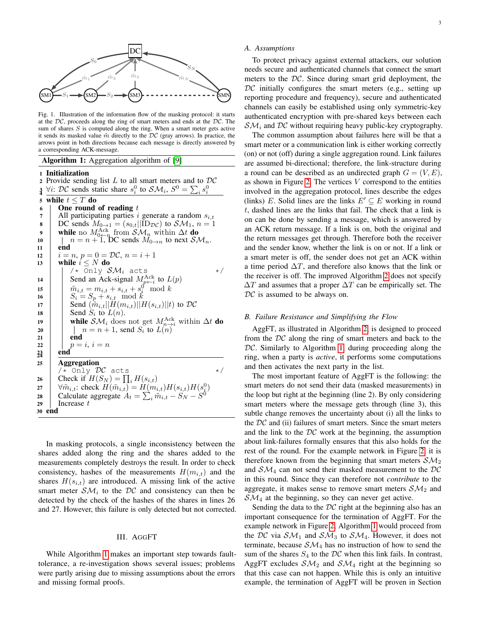

<span id="page-2-1"></span>Fig. 1. Illustration of the information flow of the masking protocol: it starts at the  $DC$ , proceeds along the ring of smart meters and ends at the  $DC$ . The sum of shares  $S$  is computed along the ring. When a smart meter gets active it sends its masked value  $\tilde{m}$  directly to the  $DC$  (gray arrows). In practice, the arrows point in both directions because each message is directly answered by a corresponding ACK-message.

# Algorithm 1: Aggregation algorithm of [\[9\]](#page-13-6)

1 Initialization

2 Provide sending list L to all smart meters and to  $DC$ <br>
3  $\forall i$ :  $DC$  sends static share  $s_i^0$  to  $S\mathcal{M}_i$ ,  $S^0 = \sum_i s_i^0$  $3\ \forall i: \mathcal{DC}$  sends static share  $s_i^0$  to  $\mathcal{SM}_i$ ,  $S^0 = \sum_i s_i^0$ 5 while  $t \leq T$  do 6 | One round One round of reading  $t$ 7 All participating parties i generate a random  $s_{i,t}$ <br>B DC sends  $M_{0\rightarrow 1} = (s_{0,t}||ID_{DC})$  to  $SM_1, n = 1$ 8 DC sends  $M_{0\rightarrow 1} = (s_{0,t}||\bar{\text{ID}}_{DC})$  to  $\mathcal{SM}_1$ ,  $n = 1$ <br>9 while no  $M_{0\rightarrow 0}^{\text{ack}}$  from  $\mathcal{SM}_n$  within  $\Delta t$  do 9 while no  $M_{0\leftarrow n}^{\text{ack}}$  from  $\mathcal{SM}_n$  within  $\Delta t$  do  $10$   $\parallel$   $n = n + 1$ , DC sends  $M_{0\rightarrow n}$  to next  $\mathcal{SM}_n$ .  $11$  end 12  $i = n, p = 0 = \mathcal{DC}, n = i + 1$ <br>13 while  $i < N$  do while  $i \leq N$  do<br> $| \times \text{Only } \mathcal{SM}_i$  acts  $\frac{1}{x}$  Only  $\mathcal{SM}_i$  acts  $\star/$ 14 Send an Ack-signal  $M_{p\leftarrow i}^{\text{Ack}}$  to  $L(p)$ 15  $\left| \begin{array}{c} \tilde{m}_{i,t} = m_{i,t} + s_{i,t} + s_i^0 \mod k \end{array} \right|$ 16  $S_i = S_p + s_{i,t} \mod k$ 17 Send  $(\widetilde{m}_{i,t}||H(m_{i,t})||H(s_{i,t})||t)$  to  $\mathcal{DC}$ <br>18 Send  $S_i$  to  $L(n)$ . 18 | Send  $S_i$  to  $L(n)$ . 19 while  $\mathcal{SM}_i$  does not get  $M_{n\to i}^{\text{Ack}}$  within  $\Delta t$  do 20 | |  $n = n + 1$ , send  $S_i$  to  $L(n)$  $21$  end 22 |  $p = i, i = n$  $23$  end 25 Aggregation  $/*$  Only  $DC$  acts  $*$  / 26 Check if  $H(S_N) = \prod_i H(s_{i,t})$ 27  $\forall \tilde{m}_{i,t}: \text{check } H(\tilde{m}_{i,t}) = H(m_{i,t})H(s_{i,t})H(s_0^0)$ 28 Calculate aggregate  $A_t = \sum_i \tilde{m}_{i,t} - S_N - S^0$ 29 | Increase  $t$ 30 end

<span id="page-2-2"></span>In masking protocols, a single inconsistency between the shares added along the ring and the shares added to the measurements completely destroys the result. In order to check consistency, hashes of the measurements  $H(m_{i,t})$  and the shares  $H(s_{i,t})$  are introduced. A missing link of the active smart meter  $\mathcal{SM}_i$  to the DC and consistency can then be detected by the check of the hashes of the shares in lines 26 and 27. However, this failure is only detected but not corrected.

#### III. AGGFT

While Algorithm [1](#page-2-2) makes an important step towards faulttolerance, a re-investigation shows several issues; problems were partly arising due to missing assumptions about the errors and missing formal proofs.

#### *A. Assumptions*

To protect privacy against external attackers, our solution needs secure and authenticated channels that connect the smart meters to the  $DC$ . Since during smart grid deployment, the  $DC$  initially configures the smart meters (e.g., setting up reporting procedure and frequency), secure and authenticated channels can easily be established using only symmetric-key authenticated encryption with pre-shared keys between each  $\mathcal{SM}_i$  and  $\mathcal{DC}$  without requiring heavy public-key cryptography.

The common assumption about failures here will be that a smart meter or a communication link is either working correctly (on) or not (off) during a single aggregation round. Link failures are assumed bi-directional; therefore, the link-structure during a round can be described as an undirected graph  $G = (V, E)$ , as shown in Figure [2.](#page-3-0) The vertices  $V$  correspond to the entities involved in the aggregation protocol, lines describe the edges (links) E. Solid lines are the links  $E' \subseteq E$  working in round t, dashed lines are the links that fail. The check that a link is on can be done by sending a message, which is answered by an ACK return message. If a link is on, both the original and the return messages get through. Therefore both the receiver and the sender know, whether the link is on or not. If a link or a smart meter is off, the sender does not get an ACK within a time period  $\Delta T$ , and therefore also knows that the link or the receiver is off. The improved Algorithm [2](#page-3-1) does not specify  $\Delta T$  and assumes that a proper  $\Delta T$  can be empirically set. The  $DC$  is assumed to be always on.

#### <span id="page-2-0"></span>*B. Failure Resistance and Simplifying the Flow*

AggFT, as illustrated in Algorithm [2,](#page-3-1) is designed to proceed from the  $DC$  along the ring of smart meters and back to the  $DC$ . Similarly to Algorithm [1,](#page-2-2) during proceeding along the ring, when a party is *active*, it performs some computations and then activates the next party in the list.

The most important feature of AggFT is the following: the smart meters do not send their data (masked measurements) in the loop but right at the beginning (line 2). By only considering smart meters where the message gets through (line 3), this subtle change removes the uncertainty about (i) all the links to the  $DC$  and (ii) failures of smart meters. Since the smart meters and the link to the  $DC$  work at the beginning, the assumption about link-failures formally ensures that this also holds for the rest of the round. For the example network in Figure [2,](#page-3-0) it is therefore known from the beginning that smart meters  $S\mathcal{M}_2$ and  $S\mathcal{M}_4$  can not send their masked measurement to the  $DC$ in this round. Since they can therefore not *contribute* to the aggregate, it makes sense to remove smart meters  $\mathcal{SM}_2$  and  $\mathcal{SM}_4$  at the beginning, so they can never get active.

Sending the data to the  $DC$  right at the beginning also has an important consequence for the termination of AggFT. For the example network in Figure [2,](#page-3-0) Algorithm [1](#page-2-2) would proceed from the DC via  $SM_1$  and  $SM_3$  to  $SM_4$ . However, it does not terminate, because  $S\mathcal{M}_4$  has no instruction of how to send the sum of the shares  $S_4$  to the  $DC$  when this link fails. In contrast, AggFT excludes  $S\mathcal{M}_2$  and  $S\mathcal{M}_4$  right at the beginning so that this case can not happen. While this is only an intuitive example, the termination of AggFT will be proven in Section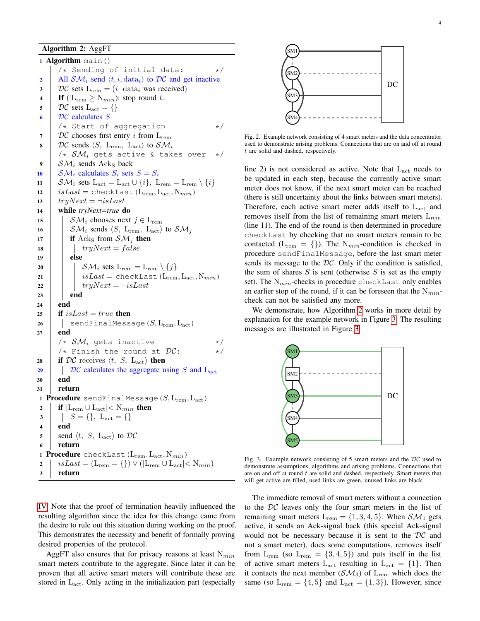# Algorithm 2: AggFT

1 Algorithm main()  $/*$  Sending of initial data:  $*/$ 2 All  $SM_i$  send  $\langle t, i, \text{data}_i \rangle$  to DC and get inactive<br>3 DC sets  $L_{rem} = (i | \text{data}_i \text{ was received})$ 3 DC sets  $L_{rem} = (i| \text{ data}_i \text{ was received})$ <br>4 If  $(|L_{rem}| > N_{min})$ ; stop round t. 4 If ( $|L_{rem}| \ge N_{min}$ ): stop round t.<br>5  $\mathcal{DC}$  sets  $L_{set} = \{\}$  $DC$  sets  $L_{act} = \{\}$  $\bullet$  |  $DC$  calculates  $S$ /\* Start of aggregation \*/ 7 DC chooses first entry *i* from  $L_{rem}$ <br>8 DC sends (*S*. L<sub>inem</sub>, L<sub>inet</sub>) to *SM*.  $DC$  sends  $\langle S, L_{\text{rem}}, L_{\text{act}} \rangle$  to  $SM_i$ /\*  $\mathcal{SM}_i$  gets active & takes over 9 |  $\mathcal{SM}_i$  sends Ack<sub>S</sub> back 10 |  $\mathcal{SM}_i$  calculates  $S_i$  sets  $S = S_i$ 11  $\left\{\n \begin{array}{l}\n \mathcal{SM}_i\n \end{array}\n \right\} \text{ sets } L_{\text{act}} = L_{\text{act}} \cup \{i\},\ L_{\text{rem}} = L_{\text{rem}} \setminus \{i\}$ <br>
12  $i \text{sLast} = \text{checkLast}(L_{\text{rem}}, L_{\text{act}}, N_{\text{min}})$  $isLast = \text{checkLast}(L_{\text{rem}}, L_{\text{act}}, N_{min})$ 13  $tryNext = \neg isLast$ <br>14 while  $trvNext = true$  d <sup>14</sup> while *tryNext=true* do 15  $\begin{array}{|c|c|} \hline \end{array}$  SM<sub>i</sub> chooses next  $j \in L_{\text{rem}}$ <br>16  $\begin{array}{|c|c|} \hline \end{array}$  SM<sub>i</sub> sends  $\langle S, L_{\text{rem}}, L_{\text{act}} \rangle$  $\mathcal{SM}_i$  sends  $\langle S, L_{\text{rem}}, L_{\text{act}} \rangle$  to  $\mathcal{SM}_j$ 17 if Ack<sub>S</sub> from  $\mathcal{SM}_j$  then<br>
18  $\int tru Next = false$  $tryNext = false$  $19$  else 20  $\begin{array}{|c|c|c|}\n\hline\n21 & \end{array}$   $\begin{array}{|c|c|}\n\hline\n\end{array}$   $\begin{array}{|c|c|}\n\hline\n321 & \text{isLast} = \text{checkLast} \ (\text{L}_{\text{rem}}) \end{array}$  $isLast = \text{checkLast}(L_{\text{rem}}, L_{\text{act}}, N_{min})$  $\begin{array}{c|c} \n\textbf{22} & \textbf{1} & \textbf{tryNext} = \neg \textbf{isLast} \\
\textbf{end} & \textbf{end}$ end 24 end 25 **if** is Last = true **then** 26 | | sendFinalMessage $(S, L_{rem}, L_{act})$  $27$  end  $\frac{1}{4} \times SM_i$  gets inactive  $\frac{1}{4} \times \frac{1}{2}$  +/<br> $\frac{1}{4} \times \frac{1}{4}$  +/ /\* Finish the round at  $DC$ : 28 if  $DC$  receives  $\langle t, S, L_{\text{act}} \rangle$  then<br>29  $\int \mathcal{DC}$  calculates the aggregate u 29  $\bigcup_{\text{20}}$  DC calculates the aggregate using S and L<sub>act</sub> end 31 return 1 **Procedure** sendFinalMessage( $S$ ,  $L_{rem}$ ,  $L_{act}$ ) 2 if  $|L_{rem} \cup L_{act}| < N_{min}$  then<br>3  $|S = \{\}, L_{act} = \{\}$  $\begin{array}{c|c} 3 & S = \{ \}, \ L_{\text{act}} = \{ \} \ \mathbf{end} \end{array}$ end 5 send  $\langle t, S, L_{\text{act}} \rangle$  to  $\mathcal{DC}$ <sup>6</sup> return 1 Procedure checkLast  $(L_{rem}, L_{act}, N_{min})$ 2  $\vert$  isLast = (L<sub>rem</sub> = {})  $\vee$  (|L<sub>rem</sub>  $\cup$  L<sub>act</sub>|  $\lt N_{min}$ )<br>3 **return** return

<span id="page-3-1"></span>[IV.](#page-5-0) Note that the proof of termination heavily influenced the resulting algorithm since the idea for this change came from the desire to rule out this situation during working on the proof. This demonstrates the necessity and benefit of formally proving desired properties of the protocol.

AggFT also ensures that for privacy reasons at least  $N_{min}$ smart meters contribute to the aggregate. Since later it can be proven that all active smart meters will contribute these are stored in Lact. Only acting in the initialization part (especially



<span id="page-3-0"></span>Fig. 2. Example network consisting of 4 smart meters and the data concentrator used to demonstrate arising problems. Connections that are on and off at round t are solid and dashed, respectively.

line 2) is not considered as active. Note that  $L_{\text{act}}$  needs to be updated in each step, because the currently active smart meter does not know, if the next smart meter can be reached (there is still uncertainty about the links between smart meters). Therefore, each active smart meter adds itself to  $L_{act}$  and removes itself from the list of remaining smart meters  $L_{\text{rem}}$ (line 11). The end of the round is then determined in procedure checkLast by checking that no smart meters remain to be contacted ( $L_{rem} = \{\}$ ). The N<sub>min</sub>-condition is checked in procedure sendFinalMessage, before the last smart meter sends its message to the  $DC$ . Only if the condition is satisfied, the sum of shares  $S$  is sent (otherwise  $S$  is set as the empty set). The  $N_{min}$ -checks in procedure checkLast only enables an earlier stop of the round, if it can be foreseen that the  $N_{min}$ check can not be satisfied any more.

We demonstrate, how Algorithm [2](#page-3-1) works in more detail by explanation for the example network in Figure [3.](#page-3-2) The resulting messages are illustrated in Figure [3.](#page-3-2)



<span id="page-3-2"></span>Fig. 3. Example network consisting of 5 smart meters and the  $DC$  used to demonstrate assumptions, algorithms and arising problems. Connections that are on and off at round  $t$  are solid and dashed, respectively. Smart meters that will get active are filled, used links are green, unused links are black.

The immediate removal of smart meters without a connection to the DC leaves only the four smart meters in the list of remaining smart meters  $L_{rem} = \{1, 3, 4, 5\}$ . When  $\mathcal{SM}_1$  gets active, it sends an Ack-signal back (this special Ack-signal would not be necessary because it is sent to the DC and not a smart meter), does some computations, removes itself from  $L_{rem}$  (so  $L_{rem} = \{3, 4, 5\}$ ) and puts itself in the list of active smart meters  $L_{\text{act}}$  resulting in  $L_{\text{act}} = \{1\}$ . Then it contacts the next member  $(SM_3)$  of  $L_{rem}$  which does the same (so  $L_{rem} = \{4, 5\}$  and  $L_{act} = \{1, 3\}$ ). However, since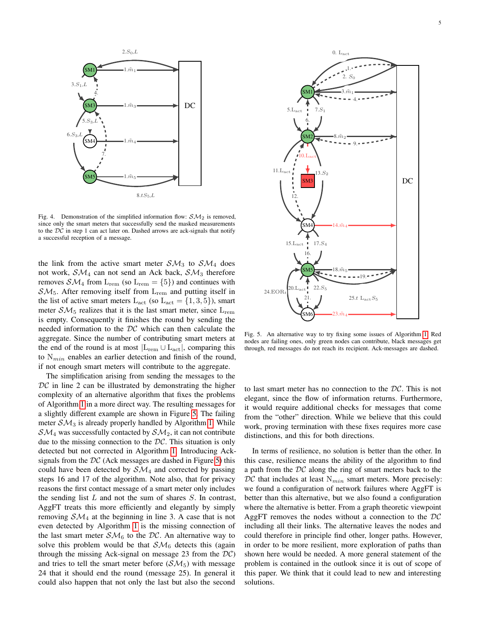

Fig. 4. Demonstration of the simplified information flow:  $\mathcal{SM}_2$  is removed, since only the smart meters that successfully send the masked measurements to the  $DC$  in step 1 can act later on. Dashed arrows are ack-signals that notify a successful reception of a message.

the link from the active smart meter  $S\mathcal{M}_3$  to  $S\mathcal{M}_4$  does not work,  $S\mathcal{M}_4$  can not send an Ack back,  $S\mathcal{M}_3$  therefore removes  $\mathcal{SM}_4$  from  $L_{rem}$  (so  $L_{rem} = \{5\}$ ) and continues with  $\mathcal{SM}_5$ . After removing itself from  $L_{rem}$  and putting itself in the list of active smart meters  $L_{\text{act}}$  (so  $L_{\text{act}} = \{1, 3, 5\}$ ), smart meter  $\mathcal{SM}_5$  realizes that it is the last smart meter, since  $L_{\text{rem}}$ is empty. Consequently it finishes the round by sending the needed information to the  $DC$  which can then calculate the aggregate. Since the number of contributing smart meters at the end of the round is at most  $|L_{rem} \cup L_{act}|$ , comparing this to  $N_{min}$  enables an earlier detection and finish of the round, if not enough smart meters will contribute to the aggregate.

The simplification arising from sending the messages to the  $DC$  in line 2 can be illustrated by demonstrating the higher complexity of an alternative algorithm that fixes the problems of Algorithm [1](#page-2-2) in a more direct way. The resulting messages for a slightly different example are shown in Figure [5.](#page-4-0) The failing meter  $\mathcal{SM}_3$  is already properly handled by Algorithm [1.](#page-2-2) While  $\mathcal{SM}_4$  was successfully contacted by  $\mathcal{SM}_2$ , it can not contribute due to the missing connection to the  $DC$ . This situation is only detected but not corrected in Algorithm [1.](#page-2-2) Introducing Acksignals from the  $DC$  (Ack messages are dashed in Figure [5\)](#page-4-0) this could have been detected by  $S\mathcal{M}_4$  and corrected by passing steps 16 and 17 of the algorithm. Note also, that for privacy reasons the first contact message of a smart meter only includes the sending list  $L$  and not the sum of shares  $S$ . In contrast, AggFT treats this more efficiently and elegantly by simply removing  $S\mathcal{M}_4$  at the beginning in line 3. A case that is not even detected by Algorithm [1](#page-2-2) is the missing connection of the last smart meter  $\mathcal{SM}_6$  to the DC. An alternative way to solve this problem would be that  $S\mathcal{M}_6$  detects this (again through the missing Ack-signal on message 23 from the  $DC$ ) and tries to tell the smart meter before  $(SM_5)$  with message 24 that it should end the round (message 25). In general it could also happen that not only the last but also the second



<span id="page-4-0"></span>Fig. 5. An alternative way to try fixing some issues of Algorithm [1.](#page-2-2) Red nodes are failing ones, only green nodes can contribute, black messages get through, red messages do not reach its recipient. Ack-messages are dashed.

to last smart meter has no connection to the DC. This is not elegant, since the flow of information returns. Furthermore, it would require additional checks for messages that come from the "other" direction. While we believe that this could work, proving termination with these fixes requires more case distinctions, and this for both directions.

In terms of resilience, no solution is better than the other. In this case, resilience means the ability of the algorithm to find a path from the  $DC$  along the ring of smart meters back to the  $DC$  that includes at least  $N_{min}$  smart meters. More precisely: we found a configuration of network failures where AggFT is better than this alternative, but we also found a configuration where the alternative is better. From a graph theoretic viewpoint AggFT removes the nodes without a connection to the  $DC$ including all their links. The alternative leaves the nodes and could therefore in principle find other, longer paths. However, in order to be more resilient, more exploration of paths than shown here would be needed. A more general statement of the problem is contained in the outlook since it is out of scope of this paper. We think that it could lead to new and interesting solutions.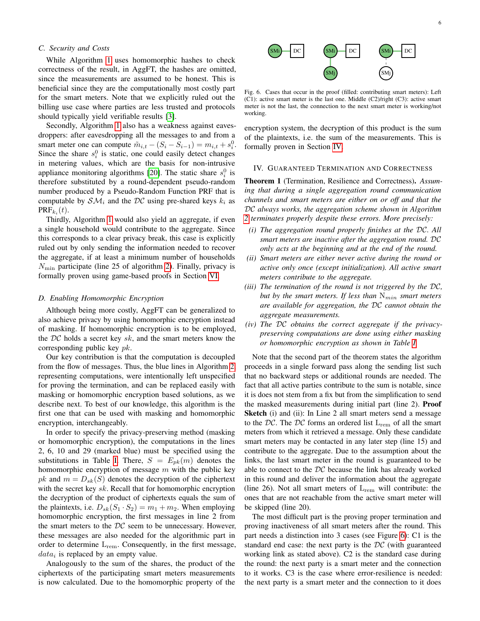# *C. Security and Costs*

While Algorithm [1](#page-2-2) uses homomorphic hashes to check correctness of the result, in AggFT, the hashes are omitted, since the measurements are assumed to be honest. This is beneficial since they are the computationally most costly part for the smart meters. Note that we explicitly ruled out the billing use case where parties are less trusted and protocols should typically yield verifiable results [\[3\]](#page-13-2).

Secondly, Algorithm [1](#page-2-2) also has a weakness against eavesdroppers: after eavesdropping all the messages to and from a smart meter one can compute  $\tilde{m}_{i,t} - (S_i - S_{i-1}) = m_{i,t} + s_i^0$ . Since the share  $s_i^0$  is static, one could easily detect changes in metering values, which are the basis for non-intrusive appliance monitoring algorithms [\[20\]](#page-14-0). The static share  $s_i^0$  is therefore substituted by a round-dependent pseudo-random number produced by a Pseudo-Random Function PRF that is computable by  $\mathcal{SM}_i$  and the  $\mathcal{DC}$  using pre-shared keys  $k_i$  as  $\mathrm{PRF}_{k_i}(t).$ 

Thirdly, Algorithm [1](#page-2-2) would also yield an aggregate, if even a single household would contribute to the aggregate. Since this corresponds to a clear privacy break, this case is explicitly ruled out by only sending the information needed to recover the aggregate, if at least a minimum number of households  $N_{\text{min}}$  participate (line 25 of algorithm [2\)](#page-3-1). Finally, privacy is formally proven using game-based proofs in Section [VI.](#page-8-0)

#### *D. Enabling Homomorphic Encryption*

Although being more costly, AggFT can be generalized to also achieve privacy by using homomorphic encryption instead of masking. If homomorphic encryption is to be employed, the  $DC$  holds a secret key sk, and the smart meters know the corresponding public key pk.

Our key contribution is that the computation is decoupled from the flow of messages. Thus, the blue lines in Algorithm [2,](#page-3-1) representing computations, were intentionally left unspecified for proving the termination, and can be replaced easily with masking or homomorphic encryption based solutions, as we describe next. To best of our knowledge, this algorithm is the first one that can be used with masking and homomorphic encryption, interchangeably.

In order to specify the privacy-preserving method (masking or homomorphic encryption), the computations in the lines 2, 6, 10 and 29 (marked blue) must be specified using the substitutions in Table [I.](#page-6-0) There,  $S = E_{pk}(m)$  denotes the homomorphic encryption of message  $m$  with the public key pk and  $m = D_{sk}(S)$  denotes the decryption of the ciphertext with the secret key  $sk$ . Recall that for homomorphic encryption the decryption of the product of ciphertexts equals the sum of the plaintexts, i.e.  $D_{sk}(S_1 \cdot S_2) = m_1 + m_2$ . When employing homomorphic encryption, the first messages in line 2 from the smart meters to the  $DC$  seem to be unnecessary. However, these messages are also needed for the algorithmic part in order to determine  $L_{rem}$ . Consequently, in the first message,  $data_i$  is replaced by an empty value.

Analogously to the sum of the shares, the product of the ciphertexts of the participating smart meters measurements is now calculated. Due to the homomorphic property of the



<span id="page-5-1"></span>Fig. 6. Cases that occur in the proof (filled: contributing smart meters): Left (C1): active smart meter is the last one. Middle (C2)/right (C3): active smart meter is not the last, the connection to the next smart meter is working/not working.

encryption system, the decryption of this product is the sum of the plaintexts, i.e. the sum of the measurements. This is formally proven in Section [IV.](#page-5-0)

#### <span id="page-5-0"></span>IV. GUARANTEED TERMINATION AND CORRECTNESS

Theorem 1 (Termination, Resilience and Correctness). *Assuming that during a single aggregation round communication channels and smart meters are either on or off and that the* DC *always works, the aggregation scheme shown in Algorithm [2](#page-3-1) terminates properly despite these errors. More precisely:*

- *(i) The aggregation round properly finishes at the* DC*. All smart meters are inactive after the aggregation round.* DC *only acts at the beginning and at the end of the round.*
- *(ii) Smart meters are either never active during the round or active only once (except initialization). All active smart meters contribute to the aggregate.*
- *(iii) The termination of the round is not triggered by the* DC*, but by the smart meters. If less than*  $N_{min}$  *smart meters are available for aggregation, the* DC *cannot obtain the aggregate measurements.*
- *(iv) The* DC *obtains the correct aggregate if the privacypreserving computations are done using either masking or homomorphic encryption as shown in Table [I.](#page-6-0)*

Note that the second part of the theorem states the algorithm proceeds in a single forward pass along the sending list such that no backward steps or additional rounds are needed. The fact that all active parties contribute to the sum is notable, since it is does not stem from a fix but from the simplification to send the masked measurements during initial part (line 2). Proof Sketch (i) and (ii): In Line 2 all smart meters send a message to the DC. The DC forms an ordered list  $L_{\text{rem}}$  of all the smart meters from which it retrieved a message. Only these candidate smart meters may be contacted in any later step (line 15) and contribute to the aggregate. Due to the assumption about the links, the last smart meter in the round is guaranteed to be able to connect to the  $DC$  because the link has already worked in this round and deliver the information about the aggregate (line 26). Not all smart meters of  $L_{rem}$  will contribute: the ones that are not reachable from the active smart meter will be skipped (line 20).

The most difficult part is the proving proper termination and proving inactiveness of all smart meters after the round. This part needs a distinction into 3 cases (see Figure [6\)](#page-5-1): C1 is the standard end case: the next party is the  $DC$  (with guaranteed working link as stated above). C2 is the standard case during the round: the next party is a smart meter and the connection to it works. C3 is the case where error-resilience is needed: the next party is a smart meter and the connection to it does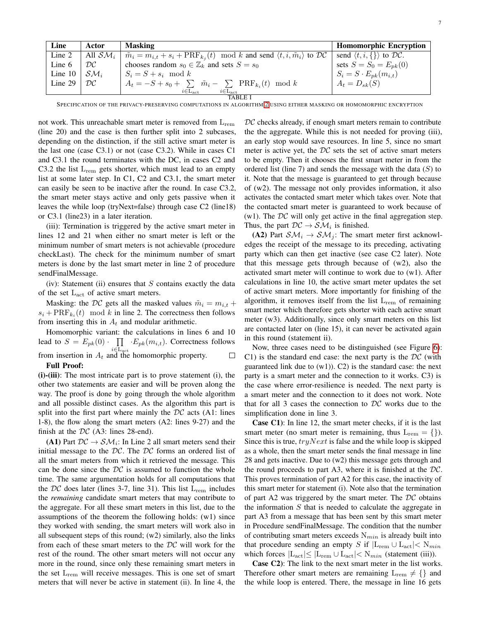| Line      | Actor                    | <b>Masking</b>                                                                                                            | <b>Homomorphic Encryption</b>                         |
|-----------|--------------------------|---------------------------------------------------------------------------------------------------------------------------|-------------------------------------------------------|
| Line 2    | All ${\cal SM}_i$        | $\tilde{m}_i = m_{i,t} + s_i + \text{PRF}_{k_i}(t) \mod k$ and send $\langle t, i, \tilde{m}_i \rangle$ to $\mathcal{DC}$ | send $\langle t, i, \{\} \rangle$ to $\mathcal{DC}$ . |
| Line 6    | $\mathcal{D}\mathcal{C}$ | chooses random $s_0 \in \mathbb{Z}_k$ and sets $S = s_0$                                                                  | sets $S = S_0 = E_{pk}(0)$                            |
| Line $10$ | ${\cal SM}_i$            | $S_i = S + s_i \mod k$                                                                                                    | $S_i = S \cdot E_{pk}(m_{i,t})$                       |
| Line 29   | DC                       | $A_t = -S + s_0 + \sum \tilde{m}_i - \sum \text{PRF}_{k_i}(t) \mod k$                                                     | $A_t = D_{sk}(S)$                                     |
|           |                          | $i \in L_{\text{act}}$<br>$i \in L_{\text{act}}$                                                                          |                                                       |
| TABLE I   |                          |                                                                                                                           |                                                       |

<span id="page-6-0"></span>SPECIFICATION OF THE PRIVACY-PRESERVING COMPUTATIONS IN ALGORITHM [2](#page-3-1) USING EITHER MASKING OR HOMOMORPHIC ENCRYPTION

not work. This unreachable smart meter is removed from  $L_{\text{rem}}$ (line 20) and the case is then further split into 2 subcases, depending on the distinction, if the still active smart meter is the last one (case C3.1) or not (case C3.2). While in cases C1 and C3.1 the round terminates with the DC, in cases C2 and C3.2 the list  $L_{rem}$  gets shorter, which must lead to an empty list at some later step. In C1, C2 and C3.1, the smart meter can easily be seen to be inactive after the round. In case C3.2, the smart meter stays active and only gets passive when it leaves the while loop (tryNext=false) through case C2 (line18) or C3.1 (line23) in a later iteration.

(iii): Termination is triggered by the active smart meter in lines 12 and 21 when either no smart meter is left or the minimum number of smart meters is not achievable (procedure checkLast). The check for the minimum number of smart meters is done by the last smart meter in line 2 of procedure sendFinalMessage.

(iv): Statement (ii) ensures that  $S$  contains exactly the data of the set Lact of active smart meters.

Masking: the DC gets all the masked values  $\tilde{m}_i = m_{i,t} +$  $s_i + \text{PRF}_{k_i}(t) \mod k$  in line 2. The correctness then follows from inserting this in  $A_t$  and modular arithmetic.

Homomorphic variant: the calculations in lines 6 and 10 lead to  $S = E_{pk}(0) \cdot \prod_{i \in I} \cdot E_{pk}(m_{i,t})$ . Correctness follows from insertion in  $A_t$  and the homomorphic property.  $\Box$ Full Proof:

(i)-(iii): The most intricate part is to prove statement (i), the other two statements are easier and will be proven along the way. The proof is done by going through the whole algorithm and all possible distinct cases. As the algorithm this part is split into the first part where mainly the  $DC$  acts (A1: lines 1-8), the flow along the smart meters (A2: lines 9-27) and the finish at the  $DC$  (A3: lines 28-end).

(A1) Part  $DC \rightarrow SM_i$ : In Line 2 all smart meters send their initial message to the  $DC$ . The  $DC$  forms an ordered list of all the smart meters from which it retrieved the message. This can be done since the  $DC$  is assumed to function the whole time. The same argumentation holds for all computations that the DC does later (lines 3-7, line 31). This list  $L_{rem}$  includes the *remaining* candidate smart meters that may contribute to the aggregate. For all these smart meters in this list, due to the assumptions of the theorem the following holds: (w1) since they worked with sending, the smart meters will work also in all subsequent steps of this round; (w2) similarly, also the links from each of these smart meters to the  $DC$  will work for the rest of the round. The other smart meters will not occur any more in the round, since only these remaining smart meters in the set  $L_{rem}$  will receive messages. This is one set of smart meters that will never be active in statement (ii). In line 4, the  $DC$  checks already, if enough smart meters remain to contribute the the aggregate. While this is not needed for proving (iii), an early stop would save resources. In line 5, since no smart meter is active yet, the  $DC$  sets the set of active smart meters to be empty. Then it chooses the first smart meter in from the ordered list (line 7) and sends the message with the data  $(S)$  to it. Note that the message is guaranteed to get through because of (w2). The message not only provides information, it also activates the contacted smart meter which takes over. Note that the contacted smart meter is guaranteed to work because of (w1). The  $DC$  will only get active in the final aggregation step. Thus, the part  $DC \rightarrow SM_i$  is finished.

(A2) Part  $S\mathcal{M}_i \rightarrow S\mathcal{M}_i$ : The smart meter first acknowledges the receipt of the message to its preceding, activating party which can then get inactive (see case C2 later). Note that this message gets through because of (w2), also the activated smart meter will continue to work due to (w1). After calculations in line 10, the active smart meter updates the set of active smart meters. More importantly for finishing of the algorithm, it removes itself from the list  $L_{rem}$  of remaining smart meter which therefore gets shorter with each active smart meter (w3). Additionally, since only smart meters on this list are contacted later on (line 15), it can never be activated again in this round (statement ii).

Now, three cases need to be distinguished (see Figure [6\)](#page-5-1): C1) is the standard end case: the next party is the  $DC$  (with guaranteed link due to  $(w1)$ ). C2) is the standard case: the next party is a smart meter and the connection to it works. C3) is the case where error-resilience is needed. The next party is a smart meter and the connection to it does not work. Note that for all 3 cases the connection to  $DC$  works due to the simplification done in line 3.

Case C1): In line 12, the smart meter checks, if it is the last smart meter (no smart meter is remaining, thus  $L_{rem} = \{\}\$ ). Since this is true,  $tryNext$  is false and the while loop is skipped as a whole, then the smart meter sends the final message in line 28 and gets inactive. Due to (w2) this message gets through and the round proceeds to part A3, where it is finished at the  $DC$ . This proves termination of part A2 for this case, the inactivity of this smart meter for statement (i). Note also that the termination of part A2 was triggered by the smart meter. The  $DC$  obtains the information  $S$  that is needed to calculate the aggregate in part A3 from a message that has been sent by this smart meter in Procedure sendFinalMessage. The condition that the number of contributing smart meters exceeds  $N_{min}$  is already built into that procedure sending an empty S if  $|L_{rem} \cup L_{act}| < N_{min}$ which forces  $|L_{\text{act}}| \leq |L_{\text{rem}} \cup L_{\text{act}}| < N_{min}$  (statement (iii)).

Case C2): The link to the next smart meter in the list works. Therefore other smart meters are remaining  $L_{rem} \neq \{\}$  and the while loop is entered. There, the message in line 16 gets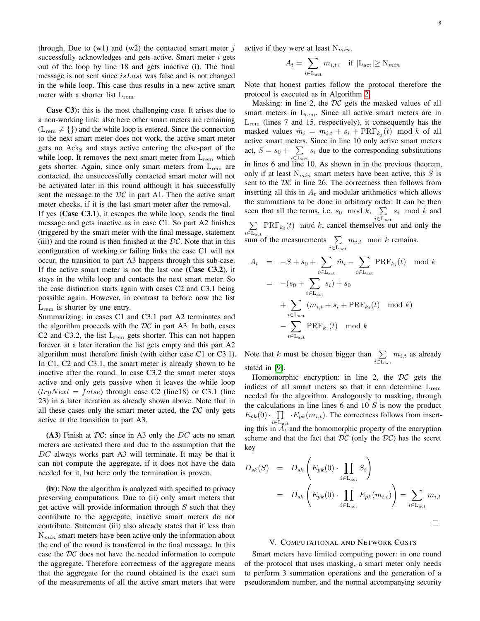through. Due to  $(w1)$  and  $(w2)$  the contacted smart meter j successfully acknowledges and gets active. Smart meter  $i$  gets out of the loop by line 18 and gets inactive (i). The final message is not sent since  $isLast$  was false and is not changed in the while loop. This case thus results in a new active smart meter with a shorter list L<sub>rem</sub>.

Case C3): this is the most challenging case. It arises due to a non-working link: also here other smart meters are remaining  $(L_{rem} \neq \{\})$  and the while loop is entered. Since the connection to the next smart meter does not work, the active smart meter gets no Ack<sub>S</sub> and stays active entering the else-part of the while loop. It removes the next smart meter from  $L_{\text{rem}}$  which gets shorter. Again, since only smart meters from  $L_{\text{rem}}$  are contacted, the unsuccessfully contacted smart meter will not be activated later in this round although it has successfully sent the message to the  $DC$  in part A1. Then the active smart meter checks, if it is the last smart meter after the removal. If yes (Case C3.1), it escapes the while loop, sends the final message and gets inactive as in case C1. So part A2 finishes (triggered by the smart meter with the final message, statement (iii)) and the round is then finished at the  $DC$ . Note that in this configuration of working or failing links the case C1 will not occur, the transition to part A3 happens through this sub-case. If the active smart meter is not the last one (Case  $C3.2$ ), it stays in the while loop and contacts the next smart meter. So the case distinction starts again with cases C2 and C3.1 being possible again. However, in contrast to before now the list  $L_{\text{rem}}$  is shorter by one entry.

Summarizing: in cases C1 and C3.1 part A2 terminates and the algorithm proceeds with the  $DC$  in part A3. In both, cases C2 and C3.2, the list L<sub>rem</sub> gets shorter. This can not happen forever, at a later iteration the list gets empty and this part A2 algorithm must therefore finish (with either case C1 or C3.1). In C1, C2 and C3.1, the smart meter is already shown to be inactive after the round. In case C3.2 the smart meter stays active and only gets passive when it leaves the while loop  $(tryNext = false)$  through case C2 (line18) or C3.1 (line 23) in a later iteration as already shown above. Note that in all these cases only the smart meter acted, the  $DC$  only gets active at the transition to part A3.

(A3) Finish at  $DC$ : since in A3 only the  $DC$  acts no smart meters are activated there and due to the assumption that the DC always works part A3 will terminate. It may be that it can not compute the aggregate, if it does not have the data needed for it, but here only the termination is proven.

(iv): Now the algorithm is analyzed with specified to privacy preserving computations. Due to (ii) only smart meters that get active will provide information through  $S$  such that they contribute to the aggregate, inactive smart meters do not contribute. Statement (iii) also already states that if less than  $N_{min}$  smart meters have been active only the information about the end of the round is transferred in the final message. In this case the DC does not have the needed information to compute the aggregate. Therefore correctness of the aggregate means that the aggregate for the round obtained is the exact sum of the measurements of all the active smart meters that were active if they were at least  $N_{min}$ .

$$
A_t = \sum_{i \in \text{L}_{\text{act}}} m_{i,t}, \quad \text{if } |\text{L}_{\text{act}}| \ge N_{\text{min}}
$$

Note that honest parties follow the protocol therefore the protocol is executed as in Algorithm [2.](#page-3-1)

Masking: in line 2, the  $DC$  gets the masked values of all smart meters in  $L_{rem}$ . Since all active smart meters are in  $L_{rem}$  (lines 7 and 15, respectively), it consequently has the masked values  $\tilde{m}_i = m_{i,t} + s_i + \text{PRF}_{k_j}(t) \mod k$  of all active smart meters. Since in line 10 only active smart meters act,  $S = s_0 + \sum$  $i\in\mathrel{{\mathsf{L}}}\nolimits_{\mathop{\mathrm{act}}\nolimits}$  $s_i$  due to the corresponding substitutions in lines 6 and line 10. As shown in in the previous theorem, only if at least  $N_{min}$  smart meters have been active, this S is sent to the  $DC$  in line 26. The correctness then follows from inserting all this in  $A_t$  and modular arithmetics which allows the summations to be done in arbitrary order. It can be then seen that all the terms, i.e.  $s_0 \mod k$ ,  $\sum$  $i \in L_{\text{act}}$  $s_i \mod k$  and  $\sum$  PRF<sub>k<sub>i</sub></sub>(t) mod k, cancel themselves out and only the

 $i \in L_{\text{act}}$ <br>sum of the measurements  $\sum$  $i \in$ L<sub>act</sub>  $m_{i,t}$  mod k remains.

$$
A_t = -S + s_0 + \sum_{i \in L_{\text{act}}} \tilde{m}_i - \sum_{i \in L_{\text{act}}} \text{PRF}_{k_i}(t) \mod k
$$
  

$$
= -(s_0 + \sum_{i \in L_{\text{act}}} s_i) + s_0
$$
  

$$
+ \sum_{i \in L_{\text{act}}} (m_{i,t} + s_i + \text{PRF}_{k_i}(t) \mod k)
$$
  

$$
- \sum_{i \in L_{\text{act}}} \text{PRF}_{k_i}(t) \mod k
$$

Note that k must be chosen bigger than  $\Sigma$  $i \in L_{\text{act}}$  $m_{i,t}$  as already stated in [\[9\]](#page-13-6).

Homomorphic encryption: in line 2, the  $DC$  gets the indices of all smart meters so that it can determine  $L_{rem}$ needed for the algorithm. Analogously to masking, through the calculations in line lines  $6$  and  $10 S$  is now the product  $E_{pk}(0)$   $\prod_{i}$   $E_{pk}(m_{i,t})$ . The correctness follows from inserting this in  $A_t$  and the homomorphic property of the encryption scheme and that the fact that  $DC$  (only the  $DC$ ) has the secret key

$$
D_{sk}(S) = D_{sk} \left( E_{pk}(0) \cdot \prod_{i \in L_{act}} S_i \right)
$$
  
= 
$$
D_{sk} \left( E_{pk}(0) \cdot \prod_{i \in L_{act}} E_{pk}(m_{i,t}) \right) = \sum_{i \in L_{act}} m_{i,t}
$$

#### V. COMPUTATIONAL AND NETWORK COSTS

Smart meters have limited computing power: in one round of the protocol that uses masking, a smart meter only needs to perform 3 summation operations and the generation of a pseudorandom number, and the normal accompanying security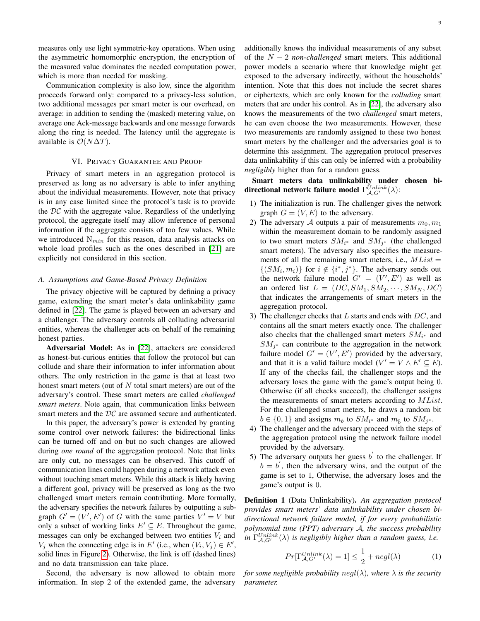measures only use light symmetric-key operations. When using the asymmetric homomorphic encryption, the encryption of the measured value dominates the needed computation power, which is more than needed for masking.

Communication complexity is also low, since the algorithm proceeds forward only: compared to a privacy-less solution, two additional messages per smart meter is our overhead, on average: in addition to sending the (masked) metering value, on average one Ack-message backwards and one message forwards along the ring is needed. The latency until the aggregate is available is  $\mathcal{O}(N\Delta T)$ .

#### VI. PRIVACY GUARANTEE AND PROOF

<span id="page-8-0"></span>Privacy of smart meters in an aggregation protocol is preserved as long as no adversary is able to infer anything about the individual measurements. However, note that privacy is in any case limited since the protocol's task is to provide the  $DC$  with the aggregate value. Regardless of the underlying protocol, the aggregate itself may allow inference of personal information if the aggregate consists of too few values. While we introduced  $N_{min}$  for this reason, data analysis attacks on whole load profiles such as the ones described in [\[21\]](#page-14-1) are explicitly not considered in this section.

# *A. Assumptions and Game-Based Privacy Definition*

The privacy objective will be captured by defining a privacy game, extending the smart meter's data unlinkability game defined in [\[22\]](#page-14-2). The game is played between an adversary and a challenger. The adversary controls all colluding adversarial entities, whereas the challenger acts on behalf of the remaining honest parties.

Adversarial Model: As in [\[22\]](#page-14-2), attackers are considered as honest-but-curious entities that follow the protocol but can collude and share their information to infer information about others. The only restriction in the game is that at least two honest smart meters (out of  $N$  total smart meters) are out of the adversary's control. These smart meters are called *challenged smart meters*. Note again, that communication links between smart meters and the  $DC$  are assumed secure and authenticated.

In this paper, the adversary's power is extended by granting some control over network failures: the bidirectional links can be turned off and on but no such changes are allowed during *one round* of the aggregation protocol. Note that links are only cut, no messages can be observed. This cutoff of communication lines could happen during a network attack even without touching smart meters. While this attack is likely having a different goal, privacy will be preserved as long as the two challenged smart meters remain contributing. More formally, the adversary specifies the network failures by outputting a subgraph  $G' = (V', E')$  of G with the same parties  $V' = V$  but only a subset of working links  $E' \subseteq E$ . Throughout the game, messages can only be exchanged between two entities  $V_i$  and  $V_j$  when the connecting edge is in E' (i.e., when  $(V_i, V_j) \in E'$ , solid lines in Figure [2\)](#page-3-0). Otherwise, the link is off (dashed lines) and no data transmission can take place.

Second, the adversary is now allowed to obtain more information. In step 2 of the extended game, the adversary additionally knows the individual measurements of any subset of the N − 2 *non-challenged* smart meters. This additional power models a scenario where that knowledge might get exposed to the adversary indirectly, without the households' intention. Note that this does not include the secret shares or ciphertexts, which are only known for the *colluding* smart meters that are under his control. As in [\[22\]](#page-14-2), the adversary also knows the measurements of the two *challenged* smart meters, he can even choose the two measurements. However, these two measurements are randomly assigned to these two honest smart meters by the challenger and the adversaries goal is to determine this assignment. The aggregation protocol preserves data unlinkability if this can only be inferred with a probability *negligibly* higher than for a random guess.

Smart meters data unlinkability under chosen bidirectional network failure model  $\Gamma_{\mathcal{A}, G'}^{Unlike}(\lambda)$ :

- 1) The initialization is run. The challenger gives the network graph  $G = (V, E)$  to the adversary.
- 2) The adversary A outputs a pair of measurements  $m_0, m_1$ within the measurement domain to be randomly assigned to two smart meters  $SM_{i^*}$  and  $SM_{j^*}$  (the challenged smart meters). The adversary also specifies the measurements of all the remaining smart meters, i.e.,  $MList =$  $\{(SM_i, m_i)\}\;$  for  $i \notin \{i^*, j^*\}\;$ . The adversary sends out the network failure model  $G' = (V', E')$  as well as an ordered list  $L = (DC, SM_1, SM_2, \cdots, SM_N, DC)$ that indicates the arrangements of smart meters in the aggregation protocol.
- 3) The challenger checks that  $L$  starts and ends with  $DC$ , and contains all the smart meters exactly once. The challenger also checks that the challenged smart meters  $SM_{i^*}$  and  $SM_{j^*}$  can contribute to the aggregation in the network failure model  $G' = (V', E')$  provided by the adversary, and that it is a valid failure model  $(V' = V \wedge E' \subseteq E)$ . If any of the checks fail, the challenger stops and the adversary loses the game with the game's output being 0. Otherwise (if all checks succeed), the challenger assigns the measurements of smart meters according to *MList*. For the challenged smart meters, he draws a random bit  $b \in \{0, 1\}$  and assigns  $m_b$  to  $SM_{i^*}$  and  $m_{\hat{b}}$  to  $SM_{j^*}$ .
- 4) The challenger and the adversary proceed with the steps of the aggregation protocol using the network failure model provided by the adversary.
- 5) The adversary outputs her guess  $b'$  to the challenger. If  $b = b'$ , then the adversary wins, and the output of the game is set to 1, Otherwise, the adversary loses and the game's output is 0.

Definition 1 (Data Unlinkability). *An aggregation protocol provides smart meters' data unlinkability under chosen bidirectional network failure model, if for every probabilistic polynomial time (PPT) adversary* A*, the success probability in*  $\Gamma_{\mathcal{A}, G'}^{Unlink}(\lambda)$  *is negligibly higher than a random guess, i.e.* 

$$
Pr[\Gamma_{\mathcal{A}, G'}^{Unlike}(\lambda) = 1] \le \frac{1}{2} + negl(\lambda)
$$
 (1)

*for some negligible probability negl* $(\lambda)$ *, where*  $\lambda$  *is the security parameter.*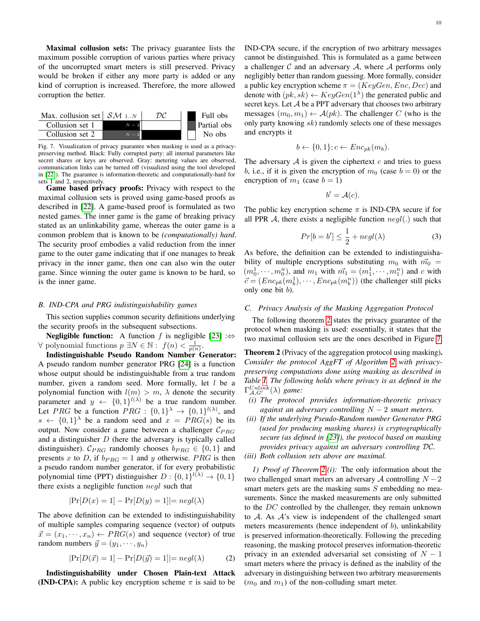Maximal collusion sets: The privacy guarantee lists the maximum possible corruption of various parties where privacy of the uncorrupted smart meters is still preserved. Privacy would be broken if either any more party is added or any kind of corruption is increased. Therefore, the more allowed corruption the better.



<span id="page-9-1"></span>Fig. 7. Visualization of privacy guarantee when masking is used as a privacypreserving method. Black: Fully corrupted party: all internal parameters like secret shares or keys are observed. Gray: metering values are observed, communication links can be turned off (visualized using the tool developed in [\[22\]](#page-14-2)). The guarantee is information-theoretic and computationally-hard for sets 1 and 2, respectively.

Game based privacy proofs: Privacy with respect to the maximal collusion sets is proved using game-based proofs as described in [\[22\]](#page-14-2). A game-based proof is formulated as two nested games. The inner game is the game of breaking privacy stated as an unlinkability game, whereas the outer game is a common problem that is known to be *(computationally) hard*. The security proof embodies a valid reduction from the inner game to the outer game indicating that if one manages to break privacy in the inner game, then one can also win the outer game. Since winning the outer game is known to be hard, so is the inner game.

#### *B. IND-CPA and PRG indistinguishability games*

This section supplies common security definitions underlying the security proofs in the subsequent subsections.

**Negligible function:** A function f is negligible [\[23\]](#page-14-3) :⇔  $\forall$  polynomial functions  $p \exists N \in \mathbb{N}$ :  $f(n) < \frac{1}{p(n)}$ .

Indistinguishable Pseudo Random Number Generator: A pseudo random number generator PRG [\[24\]](#page-14-4) is a function whose output should be indistinguishable from a true random number, given a random seed. More formally, let  $l$  be a polynomial function with  $l(m) > m$ ,  $\lambda$  denote the security parameter and  $y \leftarrow \{0, 1\}^{l(\lambda)}$  be a true random number. Let *PRG* be a function *PRG* :  $\{0,1\}^{\lambda} \rightarrow \{0,1\}^{l(\lambda)}$ , and  $s \leftarrow \{0,1\}^{\lambda}$  be a random seed and  $x = PRG(s)$  be its output. Now consider a game between a challenger  $C_{PRG}$ and a distinguisher  $D$  (here the adversary is typically called distinguisher).  $C_{PRG}$  randomly chooses  $b_{PRG} \in \{0, 1\}$  and presents x to D, if  $b_{PRG} = 1$  and y otherwise. PRG is then a pseudo random number generator, if for every probabilistic polynomial time (PPT) distinguisher  $D: \{0,1\}^{l(\lambda)} \to \{0,1\}$ there exists a negligible function negl such that

$$
|\Pr[D(x) = 1] - \Pr[D(y) = 1]| = negl(\lambda)
$$

The above definition can be extended to indistinguishability of multiple samples comparing sequence (vector) of outputs  $\vec{x} = (x_1, \dots, x_n) \leftarrow PRG(s)$  and sequence (vector) of true random numbers  $\vec{y} = (y_1, \dots, y_n)$ 

<span id="page-9-2"></span>
$$
|\Pr[D(\vec{x}) = 1] - \Pr[D(\vec{y}) = 1]| = negl(\lambda)
$$
 (2)

Indistinguishability under Chosen Plain-text Attack (IND-CPA): A public key encryption scheme  $\pi$  is said to be

IND-CPA secure, if the encryption of two arbitrary messages cannot be distinguished. This is formulated as a game between a challenger  $C$  and an adversary  $A$ , where  $A$  performs only negligibly better than random guessing. More formally, consider a public key encryption scheme  $\pi = (KeyGen, Enc, Dec)$  and denote with  $(pk, sk) \leftarrow KeyGen(1^{\lambda})$  the generated public and secret keys. Let  $A$  be a PPT adversary that chooses two arbitrary messages  $(m_0, m_1) \leftarrow \mathcal{A}(pk)$ . The challenger C (who is the only party knowing sk) randomly selects one of these messages and encrypts it

$$
b \leftarrow \{0, 1\}; c \leftarrow Enc_{pk}(m_b).
$$

The adversary  $A$  is given the ciphertext  $c$  and tries to guess b, i.e., if it is given the encryption of  $m_0$  (case  $b = 0$ ) or the encryption of  $m_1$  (case  $b = 1$ )

$$
b' = \mathcal{A}(c).
$$

The public key encryption scheme  $\pi$  is IND-CPA secure if for all PPR A, there exists a negligible function  $negl(.)$  such that

<span id="page-9-3"></span>
$$
Pr[b = b'] \le \frac{1}{2} + negl(\lambda)
$$
 (3)

As before, the definition can be extended to indistinguishability of multiple encryptions substituting  $m_0$  with  $\vec{m_0}$  =  $(m_0^1, \dots, m_0^n)$ , and  $m_1$  with  $\vec{m_1} = (m_1^1, \dots, m_1^n)$  and c with  $\vec{c} = (Enc_{pk}(m_b^1), \dots, Enc_{pk}(m_b^n))$  (the challenger still picks only one bit  $b$ ).

#### *C. Privacy Analysis of the Masking Aggregation Protocol*

The following theorem [2](#page-9-0) states the privacy guarantee of the protocol when masking is used: essentially, it states that the two maximal collusion sets are the ones described in Figure [7.](#page-9-1)

<span id="page-9-0"></span>Theorem 2 (Privacy of the aggregation protocol using masking). *Consider the protocol AggFT of Algorithm [2](#page-3-1) with privacypreserving computations done using masking as described in Table [I.](#page-6-0) The following holds where privacy is as defined in the*  $\Gamma_{\mathcal{A}, G'}^{Unlike}(\lambda)$  game:

- *(i) The protocol provides information-theoretic privacy against an adversary controlling* N − 2 *smart meters.*
- *(ii) If the underlying Pseudo-Random number Generator PRG (used for producing masking shares) is cryptographically secure (as defined in [\[23\]](#page-14-3)), the protocol based on masking provides privacy against an adversary controlling* DC*.*
- *(iii) Both collusion sets above are maximal.*

*1) Proof of Theorem [2.](#page-9-0)(i):* The only information about the two challenged smart meters an adversary  $A$  controlling  $N - 2$ smart meters gets are the masking sums  $S$  embedding no measurements. Since the masked measurements are only submitted to the DC controlled by the challenger, they remain unknown to  $A$ . As  $A$ 's view is independent of the challenged smart meters measurements (hence independent of  $b$ ), unlinkability is preserved information-theoretically. Following the preceding reasoning, the masking protocol preserves information-theoretic privacy in an extended adversarial set consisting of  $N - 1$ smart meters where the privacy is defined as the inability of the adversary in distinguishing between two arbitrary measurements  $(m_0$  and  $m_1)$  of the non-colluding smart meter.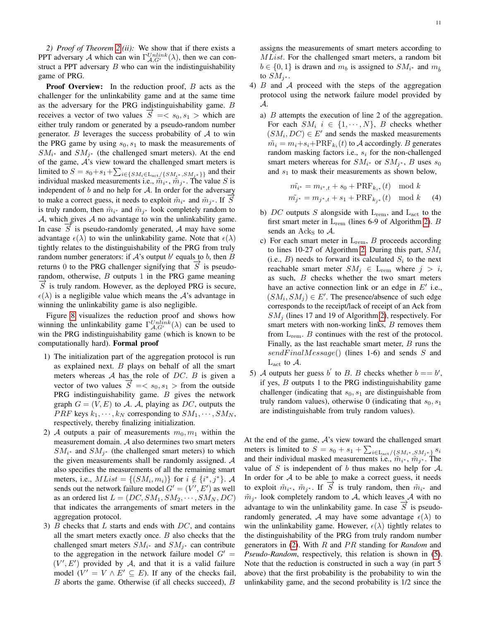*2) Proof of Theorem [2.](#page-9-0)(ii):* We show that if there exists a PPT adversary A which can win  $\Gamma_{A,G'}^{Unlink}(\lambda)$ , then we can construct a PPT adversary  $B$  who can win the indistinguishability game of PRG.

**Proof Overview:** In the reduction proof,  $B$  acts as the challenger for the unlinkability game and at the same time as the adversary for the PRG indistinguishability game. B receives a vector of two values  $\overrightarrow{S} = \begin{cases} s_0, s_1 > 0 \end{cases}$  which are either truly random or generated by a pseudo-random number generator. B leverages the success probability of  $A$  to win the PRG game by using  $s_0, s_1$  to mask the measurements of  $SM_{i^*}$  and  $SM_{j^*}$  (the challenged smart meters). At the end of the game,  $A$ 's view toward the challenged smart meters is limited to  $S = s_0 + s_1 + \sum_{i \in \{SM_i \in \text{Lact}\}} \{SM_{i^*}, SM_{i^*}\}\}$  and their individual masked measurements i.e.,  $\tilde{m}_{i^*}$ ,  $\tilde{m}_{j^*}$ . The value S is independent of  $b$  and no help for  $A$ . In order for the adversary to make a correct guess, it needs to exploit  $\tilde{m}_{i^*}$  and  $\tilde{m}_{j^*}$ . If  $\overrightarrow{S}$ is truly random, then  $\tilde{m}_{i^*}$  and  $\tilde{m}_{j^*}$  look completely random to  $A$ , which gives  $A$  no advantage to win the unlinkability game. In case  $\overrightarrow{S}$  is pseudo-randomly generated, A may have some advantage  $\epsilon(\lambda)$  to win the unlinkability game. Note that  $\epsilon(\lambda)$ tightly relates to the distinguishability of the PRG from truly random number generators: if  $A$ 's output  $b'$  equals to b, then  $B$ returns 0 to the PRG challenger signifying that  $\vec{S}$  is pseudorandom, otherwise,  $B$  outputs 1 in the PRG game meaning  $S$  is truly random. However, as the deployed PRG is secure,  $\epsilon(\lambda)$  is a negligible value which means the A's advantage in winning the unlinkability game is also negligible.

Figure [8](#page-11-0) visualizes the reduction proof and shows how winning the unlinkability game  $\Gamma_{A, G'}^{Unlink}(\lambda)$  can be used to win the PRG indistinguishability game (which is known to be computationally hard). Formal proof

- 1) The initialization part of the aggregation protocol is run as explained next.  $B$  plays on behalf of all the smart meters whereas  $A$  has the role of DC.  $B$  is given a vector of two values  $\overrightarrow{S} = \langle s_0, s_1 \rangle$  from the outside PRG indistinguishability game.  $B$  gives the network graph  $G = (V, E)$  to A. A, playing as DC, outputs the *PRF* keys  $k_1, \dots, k_N$  corresponding to  $SM_1, \dots, SM_N$ , respectively, thereby finalizing initialization.
- 2) A outputs a pair of measurements  $m_0, m_1$  within the measurement domain. A also determines two smart meters  $SM_{i^*}$  and  $SM_{j^*}$  (the challenged smart meters) to which the given measurements shall be randomly assigned. A also specifies the measurements of all the remaining smart meters, i.e.,  $MList = \{(SM_i, m_i)\}\$ for  $i \notin \{i^*, j^*\}$ . A sends out the network failure model  $G' = (V', E')$  as well as an ordered list  $L = (DC, SM_1, SM_2, \cdots, SM_N, DC)$ that indicates the arrangements of smart meters in the aggregation protocol.
- 3)  $B$  checks that  $L$  starts and ends with  $DC$ , and contains all the smart meters exactly once.  $B$  also checks that the challenged smart meters  $SM_{i^*}$  and  $SM_{j^*}$  can contribute to the aggregation in the network failure model  $G' =$  $(V', E')$  provided by A, and that it is a valid failure model  $(V' = V \wedge E' \subseteq E)$ . If any of the checks fail, B aborts the game. Otherwise (if all checks succeed), B

assigns the measurements of smart meters according to MList. For the challenged smart meters, a random bit  $b \in \{0, 1\}$  is drawn and  $m_b$  is assigned to  $SM_{i^*}$  and  $m_{\hat{b}}$ to  $SM_{j^*}.$ 

- 4)  $B$  and  $A$  proceed with the steps of the aggregation protocol using the network failure model provided by A.
	- a) B attempts the execution of line 2 of the aggregation. For each  $SM_i$   $i \in \{1, \dots, N\}$ , B checks whether  $(SM_i, DC) \in E'$  and sends the masked measurements  $\tilde{m_i} = m_i + s_i + \text{PRF}_{k_i}(t)$  to A accordingly. B generates random masking factors i.e.,  $s_i$  for the non-challenged smart meters whereas for  $SM_{i^*}$  or  $SM_{j^*}$ , B uses  $s_0$ and  $s_1$  to mask their measurements as shown below,

$$
\begin{aligned} \tilde{m_{i^*}} &= m_{i^*,t} + s_0 + \text{PRF}_{k_{i^*}}(t) \mod k\\ \tilde{m_{j^*}} &= m_{j^*,t} + s_1 + \text{PRF}_{k_{j^*}}(t) \mod k \end{aligned} \tag{4}
$$

- b) DC outputs S alongside with  $L_{rem}$ , and  $L_{act}$  to the first smart meter in  $L_{rem}$  (lines 6-9 of Algorithm [2\)](#page-3-1).  $B$ sends an Ack<sub>S</sub> to  $\mathcal{A}$ .
- c) For each smart meter in  $L_{rem}$ ,  $B$  proceeds according to lines 10-27 of Algorithm [2.](#page-3-1) During this part,  $SM_i$ (i.e.,  $B$ ) needs to forward its calculated  $S_i$  to the next reachable smart meter  $SM_j \in L_{\text{rem}}$  where  $j > i$ , as such, B checks whether the two smart meters have an active connection link or an edge in  $E'$  i.e.,  $(SM_i, SM_j) \in E'$ . The presence/absence of such edge corresponds to the receipt/lack of receipt of an Ack from  $SM_i$  (lines 17 and 19 of Algorithm [2\)](#page-3-1), respectively. For smart meters with non-working links,  $B$  removes them from  $L_{rem}$ . B continues with the rest of the protocol. Finally, as the last reachable smart meter,  $B$  runs the  $sendFinalMessage()$  (lines 1-6) and sends S and  $L_{\text{act}}$  to  $\mathcal{A}$ .
- 5) A outputs her guess b to B. B checks whether  $b == b'$ , if yes,  $B$  outputs 1 to the PRG indistinguishability game challenger (indicating that  $s_0, s_1$  are distinguishable from truly random values), otherwise 0 (indicating that  $s_0, s_1$ are indistinguishable from truly random values).

At the end of the game,  $A$ 's view toward the challenged smart meters is limited to  $S = s_0 + s_1 + \sum_{i \in \text{Lact}} {\{SM_{i^*,}} S M_{j^*}\}} s_i$ and their individual masked measurements i.e.,  $\tilde{m}_{i^*}$ ,  $\tilde{m}_{j^*}$ . The value of S is independent of b thus makes no help for  $\mathcal{A}$ . In order for  $A$  to be able to make a correct guess, it needs to exploit  $\tilde{m}_{i^*}$ ,  $\tilde{m}_{j^*}$ . If  $\overrightarrow{S}$  is truly random, then  $\tilde{m}_{i^*}$  and  $\tilde{m}_{j^*}$  look completely random to A, which leaves  $\mathcal A$  with no advantage to win the unlinkability game. In case  $\overrightarrow{S}$  is pseudorandomly generated, A may have some advantage  $\epsilon(\lambda)$  to win the unlinkability game. However,  $\epsilon(\lambda)$  tightly relates to the distinguishability of the PRG from truly random number generators in [\(2\)](#page-9-2). With R and PR standing for *Random* and *Pseudo-Random*, respectively, this relation is shown in [\(5\)](#page-11-1). Note that the reduction is constructed in such a way (in part 5 above) that the first probability is the probability to win the unlinkability game, and the second probability is 1/2 since the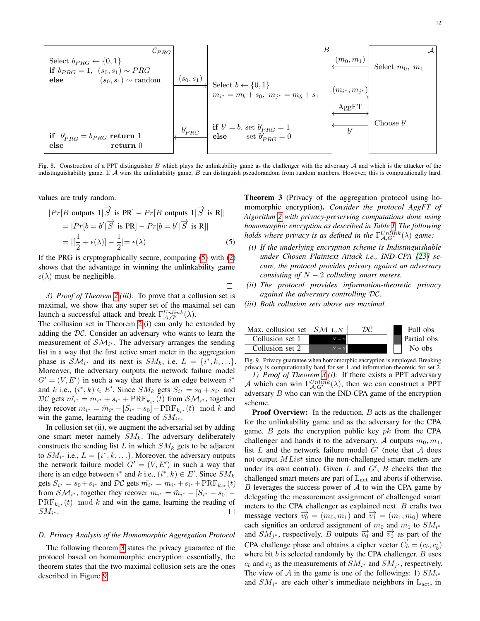

<span id="page-11-0"></span>Fig. 8. Construction of a PPT distinguisher B which plays the unlinkability game as the challenger with the adversary  $A$  and which is the attacker of the indistinguishability game. If  $A$  wins the unlinkability game,  $B$  can distinguish pseudorandom from random numbers. However, this is computationally hard.

values are truly random.

$$
|Pr[B \text{ outputs } 1 | \overrightarrow{S} \text{ is } PR] - Pr[B \text{ outputs } 1 | \overrightarrow{S} \text{ is } R]|
$$
  
= 
$$
|Pr[b = b' | \overrightarrow{S} \text{ is } PR] - Pr[b = b' | \overrightarrow{S} \text{ is } R]|
$$
  
= 
$$
|[\frac{1}{2} + \epsilon(\lambda)] - \frac{1}{2}| = \epsilon(\lambda)
$$
 (5)

If the PRG is cryptographically secure, comparing [\(5\)](#page-11-1) with [\(2\)](#page-9-2) shows that the advantage in winning the unlinkability game  $\epsilon(\lambda)$  must be negligible.

 $\Box$ 

*3) Proof of Theorem [2.](#page-9-0)(iii):* To prove that a collusion set is maximal, we show that any super set of the maximal set can launch a successful attack and break  $\Gamma_{\mathcal{A}, G'}^{Unlike}(\lambda)$ .

The collusion set in Theorem [2.](#page-9-0)(i) can only be extended by adding the DC. Consider an adversary who wants to learn the measurement of  $\mathcal{SM}_{i^*}$ . The adversary arranges the sending list in a way that the first active smart meter in the aggregation phase is  $\mathcal{SM}_{i^*}$  and its next is  $SM_k$ , i.e.  $L = \{i^*, k, \ldots\}.$ Moreover, the adversary outputs the network failure model  $G' = (V, E')$  in such a way that there is an edge between  $i^*$ and k i.e.,  $(i^*, k) \in E'$ . Since  $SM_k$  gets  $S_{i^*} = s_0 + s_{i^*}$  and  $DC$  gets  $\tilde{m_{i^*}} = m_{i^*} + s_{i^*} + \text{PRF}_{k_{i^*}}(t)$  from  $\mathcal{SM}_{i^*}$ , together they recover  $m_{i^*} = \tilde{m}_{i^*} - [S_{i^*} - s_0] - \text{PRF}_{k_{i^*}}(t) \mod k$  and win the game, learning the reading of  $SM_{i^*}$ .

In collusion set (ii), we augment the adversarial set by adding one smart meter namely  $SM_k$ . The adversary deliberately constructs the sending list L in which  $SM_k$  gets to be adjacent to  $SM_{i^*}$  i.e.,  $L = \{i^*, k, \ldots\}$ . Moreover, the adversary outputs the network failure model  $G' = (V, E')$  in such a way that there is an edge between  $i^*$  and  $k$  i.e.,  $(i^*, k) \in E'$ . Since  $SM_k$ gets  $S_{i^*} = s_0 + s_{i^*}$  and  $DC$  gets  $\tilde{m_{i^*}} = m_{i^*} + s_{i^*} + \text{PRF}_{k_{i^*}}(t)$ from  $\mathcal{SM}_{i^*}$ , together they recover  $m_{i^*} = \tilde{m}_{i^*} - [S_{i^*} - s_0] \text{PRF}_{k,*}(t) \mod k$  and win the game, learning the reading of  $\Box$  $SM_{i^*}.$ 

## *D. Privacy Analysis of the Homomorphic Aggregation Protocol*

The following theorem [3](#page-11-2) states the privacy guarantee of the protocol based on homomorphic encryption: essentially, the theorem states that the two maximal collusion sets are the ones described in Figure [9.](#page-11-3)

<span id="page-11-2"></span>Theorem 3 (Privacy of the aggregation protocol using homomorphic encryption). *Consider the protocol AggFT of Algorithm [2](#page-3-1) with privacy-preserving computations done using homomorphic encryption as described in Table [I.](#page-6-0) The following holds where privacy is as defined in the*  $\Gamma_{\mathcal{A}, G'}^{Unlike}(\lambda)$  *game:* 

- <span id="page-11-1"></span>*(i) If the underlying encryption scheme is Indistinguishable under Chosen Plaintext Attack i.e., IND-CPA [\[23\]](#page-14-3) secure, the protocol provides privacy against an adversary consisting of*  $N - 2$  *colluding smart meters.*
- *(ii) The protocol provides information-theoretic privacy against the adversary controlling* DC*.*
- *(iii) Both collusion sets above are maximal.*



<span id="page-11-3"></span>Fig. 9. Privacy guarantee when homomorphic encryption is employed. Breaking privacy is computationally hard for set 1 and information-theoretic for set 2. *1) Proof of Theorem [3.](#page-11-2)(i):* If there exists a PPT adversary A which can win  $\Gamma_{A, G'}^{Unlink}(\lambda)$ , then we can construct a PPT adversary B who can win the IND-CPA game of the encryption scheme.

**Proof Overview:** In the reduction,  $B$  acts as the challenger for the unlinkability game and as the adversary for the CPA game. B gets the encryption public key  $pk$  from the CPA challenger and hands it to the adversary. A outputs  $m_0, m_1$ , list L and the network failure model  $G'$  (note that A does not output *MList* since the non-challenged smart meters are under its own control). Given  $L$  and  $G'$ ,  $B$  checks that the challenged smart meters are part of  $L<sub>act</sub>$  and aborts if otherwise.  $B$  leverages the success power of  $A$  to win the CPA game by delegating the measurement assignment of challenged smart meters to the CPA challenger as explained next.  $B$  crafts two message vectors  $\overrightarrow{v_0} = (m_0, m_1)$  and  $\overrightarrow{v_1} = (m_1, m_0)$  where each signifies an ordered assignment of  $m_0$  and  $m_1$  to  $SM_{i*}$ and  $SM_{j^*}$ , respectively. B outputs  $\overrightarrow{v_0}$  and  $\overrightarrow{v_1}$  as part of the CPA challenge phase and obtains a cipher vector  $\overrightarrow{C_b} = (c_b, c_{\hat{b}})$ where bit  $b$  is selected randomly by the CPA challenger.  $B$  uses  $c_b$  and  $c_{\hat{b}}$  as the measurements of  $SM_{i^*}$  and  $SM_{j^*}$ , respectively. The view of A in the game is one of the followings: 1)  $SM_{i*}$ and  $SM_{j^*}$  are each other's immediate neighbors in  $L_{\text{act}}$ , in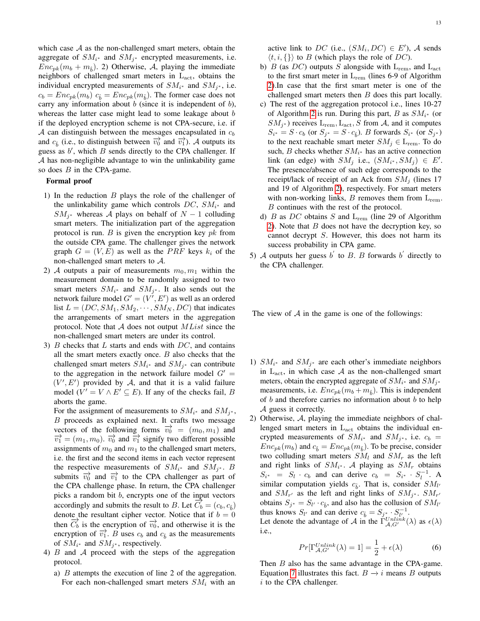which case  $A$  as the non-challenged smart meters, obtain the aggregate of  $SM_{i^*}$  and  $SM_{j^*}$  encrypted measurements, i.e.  $Enc_{pk}(m_b + m_{\hat{b}})$ . 2) Otherwise, A, playing the immediate neighbors of challenged smart meters in  $L_{\text{act}}$ , obtains the individual encrypted measurements of  $SM_{i^*}$  and  $SM_{j^*}$ , i.e.  $c_b = Enc_{pk}(m_b)$   $c_{\hat{b}} = Enc_{pk}(m_{\hat{b}})$ . The former case does not carry any information about  $b$  (since it is independent of  $b$ ), whereas the latter case might lead to some leakage about b if the deployed encryption scheme is not CPA-secure, i.e. if A can distinguish between the messages encapsulated in  $c<sub>b</sub>$ and  $c_{\hat{b}}$  (i.e., to distinguish between  $\overrightarrow{v_0}$  and  $\overrightarrow{v_1}$ ). A outputs its guess as  $b'$ , which  $B$  sends directly to the CPA challenger. If A has non-negligible advantage to win the unlinkability game so does  $B$  in the CPA-game.

# Formal proof

- 1) In the reduction  $B$  plays the role of the challenger of the unlinkability game which controls  $DC$ ,  $SM_{i*}$  and  $SM_{j^*}$  whereas A plays on behalf of  $N-1$  colluding smart meters. The initialization part of the aggregation protocol is run.  $B$  is given the encryption key  $pk$  from the outside CPA game. The challenger gives the network graph  $G = (V, E)$  as well as the PRF keys  $k_i$  of the non-challenged smart meters to  $\mathcal{A}$ .
- 2) A outputs a pair of measurements  $m_0, m_1$  within the measurement domain to be randomly assigned to two smart meters  $SM_{i^*}$  and  $SM_{j^*}$ . It also sends out the network failure model  $G' = (V', E')$  as well as an ordered list  $L = (DC, SM_1, SM_2, \cdots, SM_N, DC)$  that indicates the arrangements of smart meters in the aggregation protocol. Note that  $A$  does not output  $MList$  since the non-challenged smart meters are under its control.
- 3)  $B$  checks that  $L$  starts and ends with  $DC$ , and contains all the smart meters exactly once.  $B$  also checks that the challenged smart meters  $SM_{i^*}$  and  $SM_{j^*}$  can contribute to the aggregation in the network failure model  $G' =$  $(V', E')$  provided by A, and that it is a valid failure model  $(V' = V \wedge E' \subseteq E)$ . If any of the checks fail, B aborts the game.

For the assignment of measurements to  $SM_{i^*}$  and  $SM_{j^*}$ , B proceeds as explained next. It crafts two message vectors of the following forms  $\overrightarrow{v_0} = (m_0, m_1)$  and  $\overrightarrow{v_1} = (m_1, m_0)$ .  $\overrightarrow{v_0}$  and  $\overrightarrow{v_1}$  signify two different possible assignments of  $m_0$  and  $m_1$  to the challenged smart meters, i.e. the first and the second items in each vector represent the respective measurements of  $SM_{i^*}$  and  $SM_{j^*}$ . B submits  $\overrightarrow{v_0}$  and  $\overrightarrow{v_1}$  to the CPA challenger as part of the CPA challenge phase. In return, the CPA challenger picks a random bit b, encrypts one of the input vectors accordingly and submits the result to B. Let  $\overrightarrow{C_b} = (c_b, c_{\hat{b}})$ denote the resultant cipher vector. Notice that if  $b = 0$ then  $\overrightarrow{C_b}$  is the encryption of  $\overrightarrow{v_0}$ , and otherwise it is the encryption of  $\overrightarrow{v_1}$ . B uses  $c_b$  and  $c_{\hat{b}}$  as the measurements of  $SM_{i^*}$  and  $SM_{j^*}$ , respectively.

- 4) B and A proceed with the steps of the aggregation protocol.
	- a) B attempts the execution of line 2 of the aggregation. For each non-challenged smart meters  $SM_i$  with an

active link to DC (i.e.,  $(SM_i, DC) \in E'$ ), A sends  $\langle t, i, \{\}\rangle$  to B (which plays the role of DC).

- b) B (as DC) outputs S alongside with  $L_{rem}$ , and  $L_{act}$ to the first smart meter in  $L_{rem}$  (lines 6-9 of Algorithm [2\)](#page-3-1).In case that the first smart meter is one of the challenged smart meters then  $B$  does this part locally.
- c) The rest of the aggregation protocol i.e., lines 10-27 of Algorithm [2](#page-3-1) is run. During this part,  $B$  as  $SM_{i^*}$  (or  $SM_{j^*}$ ) receives  $L_{rem}$ ,  $L_{act}$ , S from A, and it computes  $S_{i^*} = S \cdot c_b$  (or  $S_{j^*} = S \cdot c_{\hat{b}}$ ). B forwards  $S_{i^*}$  (or  $S_{j^*}$ ) to the next reachable smart meter  $SM_i \in L_{\text{rem}}$ . To do such, *B* checks whether  $SM_{i^*}$  has an active connection link (an edge) with  $SM_j$  i.e.,  $(SM_{i^*}, SM_j) \in E'.$ The presence/absence of such edge corresponds to the receipt/lack of receipt of an Ack from  $SM_i$  (lines 17 and 19 of Algorithm [2\)](#page-3-1), respectively. For smart meters with non-working links,  $B$  removes them from  $L_{rem}$ . B continues with the rest of the protocol.
- d) B as DC obtains S and  $L_{rem}$  (line 29 of Algorithm [2\)](#page-3-1). Note that  $B$  does not have the decryption key, so cannot decrypt S. However, this does not harm its success probability in CPA game.
- 5) A outputs her guess  $b'$  to B. B forwards  $b'$  directly to the CPA challenger.

The view of  $A$  in the game is one of the followings:

- 1)  $SM_{i*}$  and  $SM_{j*}$  are each other's immediate neighbors in  $L_{\text{act}}$ , in which case A as the non-challenged smart meters, obtain the encrypted aggregate of  $SM_{i^*}$  and  $SM_{j^*}$ measurements, i.e.  $Enc_{pk}(m_b + m_{\hat{b}})$ . This is independent of  $b$  and therefore carries no information about  $b$  to help  $\mathcal A$  guess it correctly.
- 2) Otherwise, A, playing the immediate neighbors of challenged smart meters in  $L_{\text{act}}$  obtains the individual encrypted measurements of  $SM_{i^*}$  and  $SM_{j^*}$ , i.e.  $c_b =$  $Enc_{pk}(m_b)$  and  $c_{\hat{b}} = Enc_{pk}(m_{\hat{b}})$ . To be precise, consider two colluding smart meters  $SM_l$  and  $SM_r$  as the left and right links of  $SM_{i^*}$ . A playing as  $SM_r$  obtains  $S_{i^*}$  =  $S_l \cdot c_b$  and can derive  $c_b$  =  $S_{i^*} \cdot S_l^{-1}$ . A similar computation yields  $c_{\hat{b}}$ . That is, consider  $SM_{l'}$ and  $SM_{r'}$  as the left and right links of  $SM_{j^*}$ .  $SM_{r'}$ obtains  $S_{j^*} = S_{l'} \cdot c_{\hat{b}}$ , and also has the collusion of  $SM_{l'}$ thus knows  $S_{l'}$  and can derive  $c_{\hat{b}} = S_{j^*} \cdot S_{l'}^{-1}$ .

Let denote the advantage of A in the  $\Gamma_{\mathcal{A}, G'}^{Unlike}(\lambda)$  as  $\epsilon(\lambda)$ i.e.,

$$
Pr[\Gamma_{\mathcal{A}, G'}^{Unlike}(\lambda) = 1] = \frac{1}{2} + \epsilon(\lambda)
$$
 (6)

Then *B* also has the same advantage in the CPA-game. Equation [7](#page-13-19) illustrates this fact.  $B \rightarrow i$  means B outputs  $i$  to the CPA challenger.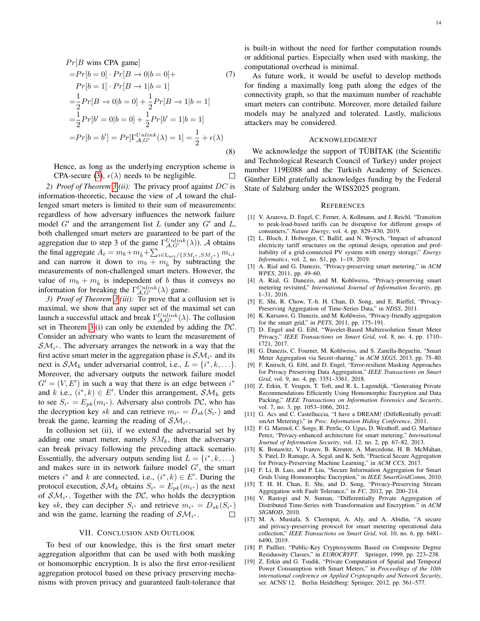$$
Pr[B \text{ wins CPA game}]
$$
  
= $Pr[b = 0] \cdot Pr[B \to 0|b = 0] +$   
 $Pr[b = 1] \cdot Pr[B \to 1|b = 1]$   
= $\frac{1}{2} Pr[B \to 0|b = 0] + \frac{1}{2} Pr[B \to 1|b = 1]$   
= $\frac{1}{2} Pr[b' = 0|b = 0] + \frac{1}{2} Pr[b' = 1|b = 1]$   
= $Pr[b = b'] = Pr[\Gamma_{A,G'}^{Unlike}(\lambda) = 1] = \frac{1}{2} + \epsilon(\lambda)$   
(8)

Hence, as long as the underlying encryption scheme is CPA-secure [\(3\)](#page-9-3),  $\epsilon(\lambda)$  needs to be negligible.  $\Box$ 

*2) Proof of Theorem [3.](#page-11-2)(ii):* The privacy proof against DC is information-theoretic, because the view of  $A$  toward the challenged smart meters is limited to their sum of measurements: regardless of how adversary influences the network failure model  $G'$  and the arrangement list  $L$  (under any  $G'$  and  $L$ , both challenged smart meters are guaranteed to be part of the aggregation due to step 3 of the game  $\Gamma_{A, G'}^{Unlike}(\lambda)$ ). A obtains the final aggregate  $A_t = m_b + m_{\hat{b}} + \sum_{i \in \text{L}_{\text{act}}/ \{SM_{i^*}, SM_{j^*}\}} m_{i,t}$ and can narrow it down to  $m_b + m_{\hat{b}}$  by subtracting the measurements of non-challenged smart meters. However, the value of  $m_b + m_{\hat{b}}$  is independent of b thus it conveys no information for breaking the  $\Gamma_{A, G'}^{Unlike}(\lambda)$  game.

*3) Proof of Theorem [3.](#page-11-2)(iii):* To prove that a collusion set is maximal, we show that any super set of the maximal set can launch a successful attack and break  $\Gamma_{A, G'}^{Unlike}(\lambda)$ . The collusion set in Theorem [3.](#page-11-2)(i) can only be extended by adding the  $DC$ . Consider an adversary who wants to learn the measurement of  $\mathcal{SM}_{i^*}$ . The adversary arranges the network in a way that the first active smart meter in the aggregation phase is  $\mathcal{SM}_{i^*}$  and its next is  $\mathcal{SM}_k$  under adversarial control, i.e.,  $L = \{i^*, k, \ldots\}.$ Moreover, the adversary outputs the network failure model  $G' = (V, E')$  in such a way that there is an edge between  $i^*$ and k i.e.,  $(i^*, k) \in E'$ . Under this arrangement,  $\mathcal{SM}_k$  gets to see  $S_{i^*} = E_{pk}(m_{i^*})$ . Adversary also controls  $\mathcal{DC}$ , who has the decryption key sk and can retrieve  $m_{i^*} = D_{sk}(S_{i^*})$  and break the game, learning the reading of  $\mathcal{SM}_{i^*}$ .

In collusion set (ii), if we extend the adversarial set by adding one smart meter, namely  $SM_k$ , then the adversary can break privacy following the preceding attack scenario. Essentially, the adversary outputs sending list  $L = \{i^*, k, \ldots\}$ and makes sure in its network failure model  $G'$ , the smart meters  $i^*$  and k are connected, i.e.,  $(i^*, k) \in E'$ . During the protocol execution,  $\mathcal{SM}_k$  obtains  $S_{i^*} = E_{pk}(m_{i^*})$  as the next of  $\mathcal{SM}_{i^*}$ . Together with the DC, who holds the decryption key sk, they can decipher  $S_{i^*}$  and retrieve  $m_{i^*} = D_{sk}(S_{i^*})$ and win the game, learning the reading of  $\mathcal{SM}_{i^*}$ .  $\Box$ 

#### VII. CONCLUSION AND OUTLOOK

To best of our knowledge, this is the first smart meter aggregation algorithm that can be used with both masking or homomorphic encryption. It is also the first error-resilient aggregation protocol based on these privacy preserving mechanisms with proven privacy and guaranteed fault-tolerance that

is built-in without the need for further computation rounds or additional parties. Especially when used with masking, the computational overhead is minimal.

<span id="page-13-19"></span>As future work, it would be useful to develop methods for finding a maximally long path along the edges of the connectivity graph, so that the maximum number of reachable smart meters can contribute. Moreover, more detailed failure models may be analyzed and tolerated. Lastly, malicious attackers may be considered.

#### ACKNOWLEDGMENT

We acknowledge the support of TÜBİTAK (the Scientific and Technological Research Council of Turkey) under project number 119E088 and the Turkish Academy of Sciences. Günther Eibl gratefully acknowledges funding by the Federal State of Salzburg under the WISS2025 program.

#### **REFERENCES**

- <span id="page-13-0"></span>[1] V. Azarova, D. Engel, C. Ferner, A. Kollmann, and J. Reichl, "Transition to peak-load-based tariffs can be disruptive for different groups of consumers," *Nature Energy*, vol. 4, pp. 829–830, 2019.
- <span id="page-13-1"></span>[2] L. Bloch, J. Holweger, C. Ballif, and N. Wyrsch, "Impact of advanced electricity tariff structures on the optimal design, operation and profitability of a grid-connected PV system with energy storage," *Energy Informatics*, vol. 2, no. S1, pp. 1–19, 2019.
- <span id="page-13-2"></span>[3] A. Rial and G. Danezis, "Privacy-preserving smart metering," in *ACM WPES*, 2011, pp. 49–60.
- <span id="page-13-3"></span>[4] A. Rial, G. Danezis, and M. Kohlweiss, "Privacy-preserving smart metering revisited," *International Journal of Information Security*, pp. 1–31, 2016.
- <span id="page-13-4"></span>[5] E. Shi, R. Chow, T.-h. H. Chan, D. Song, and E. Rieffel, "Privacy-Preserving Aggregation of Time-Series Data," in *NDSS*, 2011.
- <span id="page-13-7"></span>[6] K. Kursawe, G. Danezis, and M. Kohlweiss, "Privacy-friendly aggregation for the smart grid," in *PETS*, 2011, pp. 175–191.
- <span id="page-13-9"></span>[7] D. Engel and G. Eibl, "Wavelet-Based Multiresolution Smart Meter Privacy," *IEEE Transactions on Smart Grid*, vol. 8, no. 4, pp. 1710– 1721, 2017.
- <span id="page-13-5"></span>[8] G. Danezis, C. Fournet, M. Kohlweiss, and S. Zanella-Béguelin, "Smart Meter Aggregation via Secret-sharing," in *ACM SEGS*, 2013, pp. 75–80.
- <span id="page-13-6"></span>[9] F. Knirsch, G. Eibl, and D. Engel, "Error-resilient Masking Approaches for Privacy Preserving Data Aggregation," *IEEE Transactions on Smart Grid*, vol. 9, no. 4, pp. 3351–3361, 2018.
- <span id="page-13-10"></span>[10] Z. Erkin, T. Veugen, T. Toft, and R. L. Lagendijk, "Generating Private Recommendations Efficiently Using Homomorphic Encryption and Data Packing," *IEEE Transactions on Information Forensics and Security*, vol. 7, no. 3, pp. 1053–1066, 2012.
- <span id="page-13-14"></span>[11] G. Acs and C. Castelluccia, "I have a DREAM! (DiffeRentially privatE smArt Metering)," in *Proc. Information Hiding Conference*, 2011.
- <span id="page-13-17"></span>[12] F. G. Marmol, C. Sorge, R. Petrlic, O. Ugus, D. Westhoff, and G. Martinez Perez, "Privacy-enhanced architecture for smart metering," *International Journal of Information Security*, vol. 12, no. 2, pp. 67–82, 2013.
- <span id="page-13-8"></span>[13] K. Bonawitz, V. Ivanov, B. Kreuter, A. Marcedone, H. B. McMahan, S. Patel, D. Ramage, A. Segal, and K. Seth, "Practical Secure Aggregation for Privacy-Preserving Machine Learning," in *ACM CCS*, 2017.
- <span id="page-13-11"></span>[14] F. Li, B. Luo, and P. Liu, "Secure Information Aggregation for Smart Grids Using Homomorphic Encryption," in *IEEE SmartGridComm*, 2010.
- <span id="page-13-15"></span>[15] T. H. H. Chan, E. Shi, and D. Song, "Privacy-Preserving Stream Aggregation with Fault Tolerance," in *FC*, 2012, pp. 200–214.
- <span id="page-13-12"></span>[16] V. Rastogi and N. Suman, "Differentially Private Aggregation of Distributed Time-Series with Transformation and Encryption." in *ACM SIGMOD*, 2010.
- <span id="page-13-13"></span>[17] M. A. Mustafa, S. Cleemput, A. Aly, and A. Abidin, "A secure and privacy-preserving protocol for smart metering operational data collection," *IEEE Transactions on Smart Grid*, vol. 10, no. 6, pp. 6481– 6490, 2019.
- <span id="page-13-16"></span>[18] P. Paillier, "Public-Key Cryptosystems Based on Composite Degree Residuosity Classes," in *EUROCRYPT*. Springer, 1999, pp. 223–238.
- <span id="page-13-18"></span>[19] Z. Erkin and G. Tsudik, "Private Computation of Spatial and Temporal Power Consumption with Smart Meters," in *Proceedings of the 10th international conference on Applied Cryptography and Network Security*, ser. ACNS'12. Berlin Heidelberg: Springer, 2012, pp. 561–577.